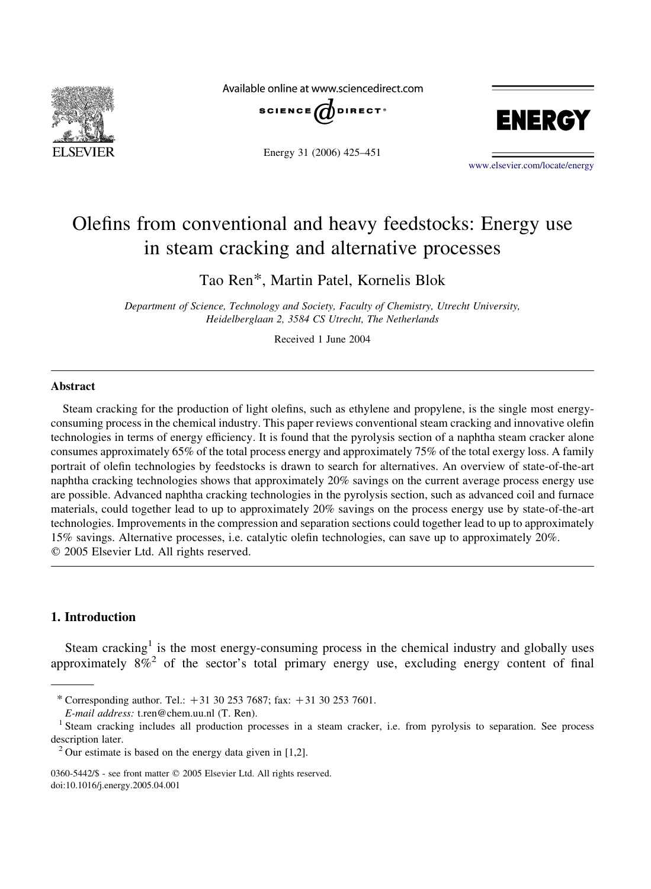

Available online at www.sciencedirect.com



Energy 31 (2006) 425–451



[www.elsevier.com/locate/energy](http://www.elsevier.com/locate/energy)

# Olefins from conventional and heavy feedstocks: Energy use in steam cracking and alternative processes

Tao Ren\*, Martin Patel, Kornelis Blok

Department of Science, Technology and Society, Faculty of Chemistry, Utrecht University, Heidelberglaan 2, 3584 CS Utrecht, The Netherlands

Received 1 June 2004

#### Abstract

Steam cracking for the production of light olefins, such as ethylene and propylene, is the single most energyconsuming process in the chemical industry. This paper reviews conventional steam cracking and innovative olefin technologies in terms of energy efficiency. It is found that the pyrolysis section of a naphtha steam cracker alone consumes approximately 65% of the total process energy and approximately 75% of the total exergy loss. A family portrait of olefin technologies by feedstocks is drawn to search for alternatives. An overview of state-of-the-art naphtha cracking technologies shows that approximately 20% savings on the current average process energy use are possible. Advanced naphtha cracking technologies in the pyrolysis section, such as advanced coil and furnace materials, could together lead to up to approximately 20% savings on the process energy use by state-of-the-art technologies. Improvements in the compression and separation sections could together lead to up to approximately 15% savings. Alternative processes, i.e. catalytic olefin technologies, can save up to approximately 20%.  $Q$  2005 Elsevier Ltd. All rights reserved.

## 1. Introduction

Steam cracking<sup>1</sup> is the most energy-consuming process in the chemical industry and globally uses approximately  $8\%^2$  of the sector's total primary energy use, excluding energy content of final

\* Corresponding author. Tel.:  $+31$  30 253 7687; fax:  $+31$  30 253 7601.

 $E$ -mail address: t.ren@chem.uu.nl (T. Ren).<br><sup>1</sup> Steam cracking includes all production processes in a steam cracker, i.e. from pyrolysis to separation. See process description later.

 $2$  Our estimate is based on the energy data given in [1,2].

<sup>0360-5442/\$ -</sup> see front matter © 2005 Elsevier Ltd. All rights reserved. doi:10.1016/j.energy.2005.04.001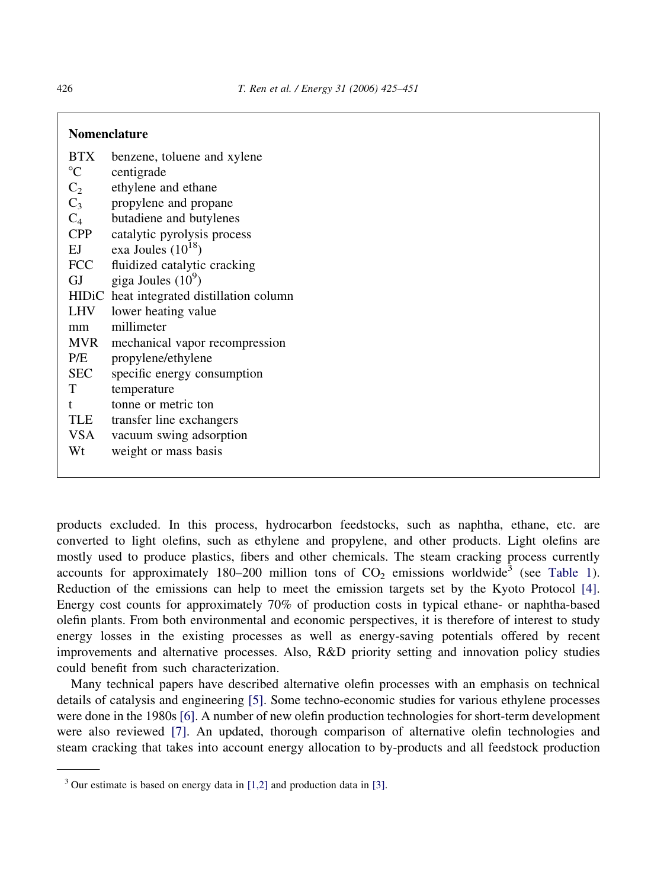### Nomenclature

| <b>BTX</b>      | benzene, toluene and xylene                            |
|-----------------|--------------------------------------------------------|
| $\rm ^{\circ}C$ | centigrade                                             |
| $C_2$           | ethylene and ethane                                    |
| $C_3$           | propylene and propane                                  |
| $C_4$           | butadiene and butylenes                                |
| <b>CPP</b>      | catalytic pyrolysis process                            |
| EJ              | exa Joules $(10^{18})$                                 |
| <b>FCC</b>      | fluidized catalytic cracking                           |
| GJ              | giga Joules $(10^9)$                                   |
|                 | HID <sub>i</sub> C heat integrated distillation column |
| LHV             | lower heating value                                    |
| mm              | millimeter                                             |
| <b>MVR</b>      | mechanical vapor recompression                         |
| P/E             | propylene/ethylene                                     |
| SEC             | specific energy consumption                            |
| т               | temperature                                            |
| t               | tonne or metric ton                                    |
| TLE             | transfer line exchangers                               |
| VSA             | vacuum swing adsorption                                |
| Wt              | weight or mass basis                                   |

products excluded. In this process, hydrocarbon feedstocks, such as naphtha, ethane, etc. are converted to light olefins, such as ethylene and propylene, and other products. Light olefins are mostly used to produce plastics, fibers and other chemicals. The steam cracking process currently accounts for approximately 180–200 million tons of  $CO<sub>2</sub>$  emissions worldwide<sup>3</sup> (see [Table 1](#page-2-0)). Reduction of the emissions can help to meet the emission targets set by the Kyoto Protocol [\[4\]](#page-23-0). Energy cost counts for approximately 70% of production costs in typical ethane- or naphtha-based olefin plants. From both environmental and economic perspectives, it is therefore of interest to study energy losses in the existing processes as well as energy-saving potentials offered by recent improvements and alternative processes. Also, R&D priority setting and innovation policy studies could benefit from such characterization.

Many technical papers have described alternative olefin processes with an emphasis on technical details of catalysis and engineering [\[5\]](#page-23-0). Some techno-economic studies for various ethylene processes were done in the 1980s [\[6\].](#page-23-0) A number of new olefin production technologies for short-term development were also reviewed [\[7\].](#page-23-0) An updated, thorough comparison of alternative olefin technologies and steam cracking that takes into account energy allocation to by-products and all feedstock production

 $3$  Our estimate is based on energy data in [\[1,2\]](#page-23-0) and production data in [\[3\].](#page-23-0)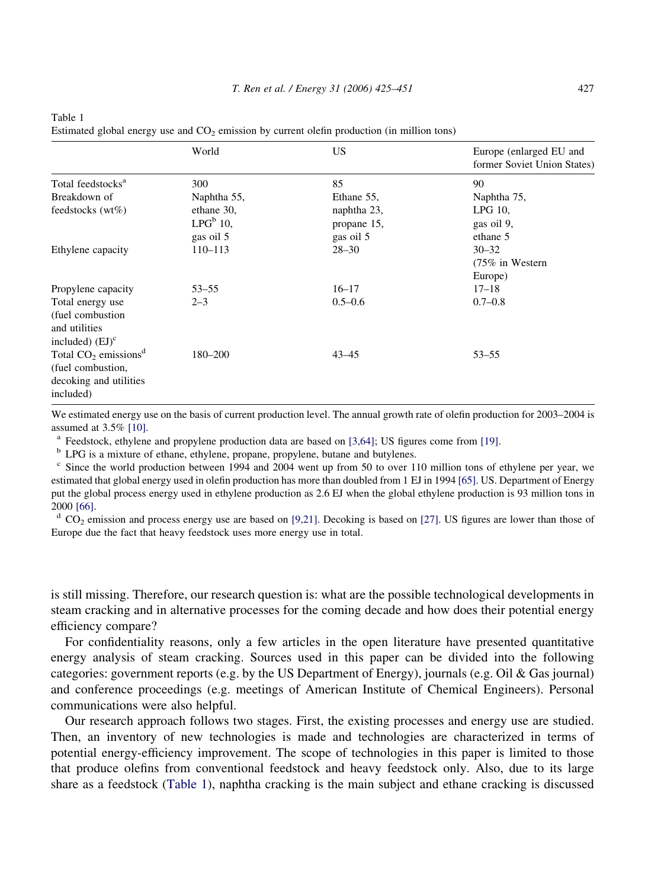|                                                                                                | World       | <b>US</b>   | Europe (enlarged EU and<br>former Soviet Union States) |
|------------------------------------------------------------------------------------------------|-------------|-------------|--------------------------------------------------------|
| Total feedstocks <sup>a</sup>                                                                  | 300         | 85          | 90                                                     |
| Breakdown of                                                                                   | Naphtha 55, | Ethane 55,  | Naphtha 75,                                            |
| feedstocks $(wt\%)$                                                                            | ethane 30,  | naphtha 23, | $LPG$ 10.                                              |
|                                                                                                | $LPGb10$ ,  | propane 15, | gas oil 9,                                             |
|                                                                                                | gas oil 5   | gas oil 5   | ethane 5                                               |
| Ethylene capacity                                                                              | $110 - 113$ | $28 - 30$   | $30 - 32$                                              |
|                                                                                                |             |             | (75% in Western                                        |
|                                                                                                |             |             | Europe)                                                |
| Propylene capacity                                                                             | $53 - 55$   | $16 - 17$   | $17 - 18$                                              |
| Total energy use<br>(fuel combustion<br>and utilities<br>included) $(EJ)^c$                    | $2 - 3$     | $0.5 - 0.6$ | $0.7 - 0.8$                                            |
| Total $CO2$ emissions <sup>d</sup><br>(fuel combustion,<br>decoking and utilities<br>included) | 180-200     | $43 - 45$   | $53 - 55$                                              |

<span id="page-2-0"></span>Table 1 Estimated global energy use and  $CO<sub>2</sub>$  emission by current olefin production (in million tons)

We estimated energy use on the basis of current production level. The annual growth rate of olefin production for 2003–2004 is assumed at 3.5% [\[10\].](#page-23-0)<br>
<sup>a</sup> Feedstock, ethylene and propylene production data are based on [\[3,64\]](#page-23-0); US figures come from [\[19\].](#page-24-0)<br>
<sup>b</sup> LPG is a mixture of ethane, ethylene, propane, propylene, butane and butylenes.<br>
<sup>c</sup> Since

estimated that global energy used in olefin production has more than doubled from 1 EJ in 1994 [\[65\].](#page-25-0) US. Department of Energy put the global process energy used in ethylene production as 2.6 EJ when the global ethylene production is 93 million tons in 2000 [\[66\]](#page-25-0).<br><sup>d</sup> CO<sub>2</sub> emission and process energy use are based on [\[9,21\]](#page-23-0). Decoking is based on [\[27\].](#page-24-0) US figures are lower than those of

Europe due the fact that heavy feedstock uses more energy use in total.

is still missing. Therefore, our research question is: what are the possible technological developments in steam cracking and in alternative processes for the coming decade and how does their potential energy efficiency compare?

For confidentiality reasons, only a few articles in the open literature have presented quantitative energy analysis of steam cracking. Sources used in this paper can be divided into the following categories: government reports (e.g. by the US Department of Energy), journals (e.g. Oil & Gas journal) and conference proceedings (e.g. meetings of American Institute of Chemical Engineers). Personal communications were also helpful.

Our research approach follows two stages. First, the existing processes and energy use are studied. Then, an inventory of new technologies is made and technologies are characterized in terms of potential energy-efficiency improvement. The scope of technologies in this paper is limited to those that produce olefins from conventional feedstock and heavy feedstock only. Also, due to its large share as a feedstock (Table 1), naphtha cracking is the main subject and ethane cracking is discussed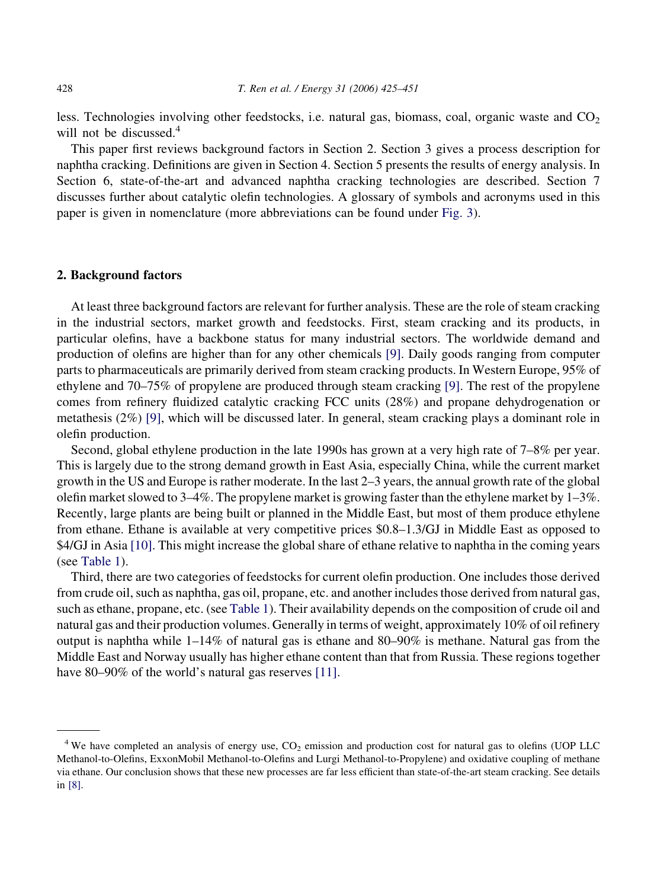less. Technologies involving other feedstocks, i.e. natural gas, biomass, coal, organic waste and  $CO<sub>2</sub>$ will not be discussed.<sup>4</sup>

This paper first reviews background factors in Section 2. Section 3 gives a process description for naphtha cracking. Definitions are given in Section 4. Section 5 presents the results of energy analysis. In Section 6, state-of-the-art and advanced naphtha cracking technologies are described. Section 7 discusses further about catalytic olefin technologies. A glossary of symbols and acronyms used in this paper is given in nomenclature (more abbreviations can be found under [Fig. 3\)](#page-12-0).

## 2. Background factors

At least three background factors are relevant for further analysis. These are the role of steam cracking in the industrial sectors, market growth and feedstocks. First, steam cracking and its products, in particular olefins, have a backbone status for many industrial sectors. The worldwide demand and production of olefins are higher than for any other chemicals [\[9\]](#page-23-0). Daily goods ranging from computer parts to pharmaceuticals are primarily derived from steam cracking products. In Western Europe, 95% of ethylene and 70–75% of propylene are produced through steam cracking [\[9\].](#page-23-0) The rest of the propylene comes from refinery fluidized catalytic cracking FCC units (28%) and propane dehydrogenation or metathesis (2%) [\[9\],](#page-23-0) which will be discussed later. In general, steam cracking plays a dominant role in olefin production.

Second, global ethylene production in the late 1990s has grown at a very high rate of 7–8% per year. This is largely due to the strong demand growth in East Asia, especially China, while the current market growth in the US and Europe is rather moderate. In the last 2–3 years, the annual growth rate of the global olefin market slowed to 3–4%. The propylene market is growing faster than the ethylene market by 1–3%. Recently, large plants are being built or planned in the Middle East, but most of them produce ethylene from ethane. Ethane is available at very competitive prices \$0.8–1.3/GJ in Middle East as opposed to \$4/GJ in Asia [\[10\]](#page-23-0). This might increase the global share of ethane relative to naphtha in the coming years (see [Table 1](#page-2-0)).

Third, there are two categories of feedstocks for current olefin production. One includes those derived from crude oil, such as naphtha, gas oil, propane, etc. and another includes those derived from natural gas, such as ethane, propane, etc. (see [Table 1](#page-2-0)). Their availability depends on the composition of crude oil and natural gas and their production volumes. Generally in terms of weight, approximately 10% of oil refinery output is naphtha while  $1-14\%$  of natural gas is ethane and 80–90% is methane. Natural gas from the Middle East and Norway usually has higher ethane content than that from Russia. These regions together have 80–90% of the world's natural gas reserves [\[11\].](#page-23-0)

 $4$  We have completed an analysis of energy use,  $CO<sub>2</sub>$  emission and production cost for natural gas to olefins (UOP LLC Methanol-to-Olefins, ExxonMobil Methanol-to-Olefins and Lurgi Methanol-to-Propylene) and oxidative coupling of methane via ethane. Our conclusion shows that these new processes are far less efficient than state-of-the-art steam cracking. See details in [\[8\].](#page-23-0)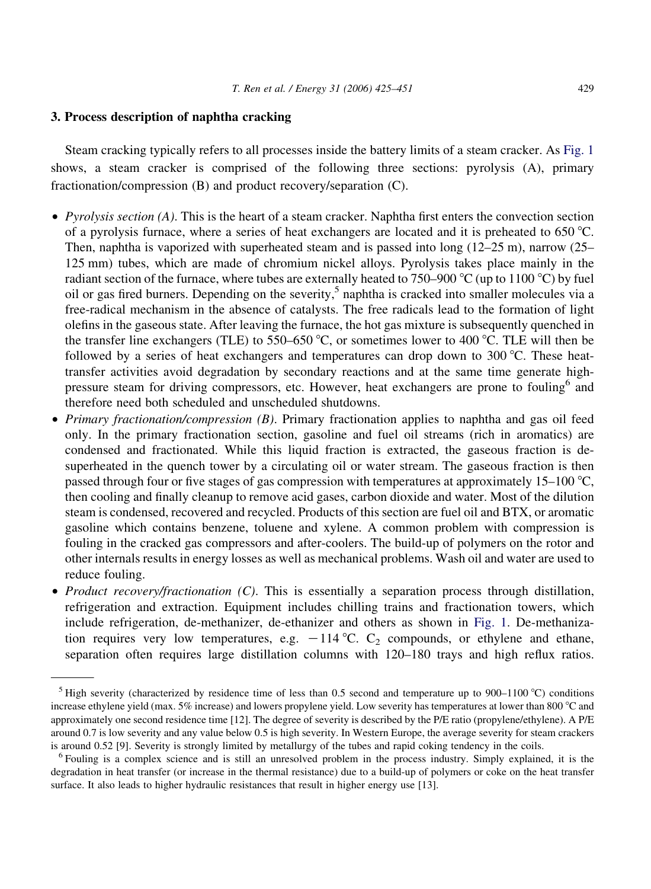## 3. Process description of naphtha cracking

Steam cracking typically refers to all processes inside the battery limits of a steam cracker. As [Fig. 1](#page-5-0) shows, a steam cracker is comprised of the following three sections: pyrolysis (A), primary fractionation/compression (B) and product recovery/separation (C).

- Pyrolysis section (A). This is the heart of a steam cracker. Naphtha first enters the convection section of a pyrolysis furnace, where a series of heat exchangers are located and it is preheated to 650  $\degree$ C. Then, naphtha is vaporized with superheated steam and is passed into long (12–25 m), narrow (25– 125 mm) tubes, which are made of chromium nickel alloys. Pyrolysis takes place mainly in the radiant section of the furnace, where tubes are externally heated to 750–900  $^{\circ}C$  (up to 1100  $^{\circ}C$ ) by fuel oil or gas fired burners. Depending on the severity,<sup>5</sup> naphtha is cracked into smaller molecules via a free-radical mechanism in the absence of catalysts. The free radicals lead to the formation of light olefins in the gaseous state. After leaving the furnace, the hot gas mixture is subsequently quenched in the transfer line exchangers (TLE) to 550–650 °C, or sometimes lower to 400 °C. TLE will then be followed by a series of heat exchangers and temperatures can drop down to  $300^{\circ}$ C. These heattransfer activities avoid degradation by secondary reactions and at the same time generate highpressure steam for driving compressors, etc. However, heat exchangers are prone to fouling<sup>6</sup> and therefore need both scheduled and unscheduled shutdowns.
- Primary fractionation/compression (B). Primary fractionation applies to naphtha and gas oil feed only. In the primary fractionation section, gasoline and fuel oil streams (rich in aromatics) are condensed and fractionated. While this liquid fraction is extracted, the gaseous fraction is desuperheated in the quench tower by a circulating oil or water stream. The gaseous fraction is then passed through four or five stages of gas compression with temperatures at approximately 15–100  $^{\circ}$ C, then cooling and finally cleanup to remove acid gases, carbon dioxide and water. Most of the dilution steam is condensed, recovered and recycled. Products of this section are fuel oil and BTX, or aromatic gasoline which contains benzene, toluene and xylene. A common problem with compression is fouling in the cracked gas compressors and after-coolers. The build-up of polymers on the rotor and other internals results in energy losses as well as mechanical problems. Wash oil and water are used to reduce fouling.
- Product recovery/fractionation  $(C)$ . This is essentially a separation process through distillation, refrigeration and extraction. Equipment includes chilling trains and fractionation towers, which include refrigeration, de-methanizer, de-ethanizer and others as shown in [Fig. 1.](#page-5-0) De-methanization requires very low temperatures, e.g.  $-114 \degree C$ . C<sub>2</sub> compounds, or ethylene and ethane, separation often requires large distillation columns with 120–180 trays and high reflux ratios.

 $<sup>5</sup>$  High severity (characterized by residence time of less than 0.5 second and temperature up to 900–1100 °C) conditions</sup> increase ethylene yield (max.  $5\%$  increase) and lowers propylene yield. Low severity has temperatures at lower than 800  $^{\circ}$ C and approximately one second residence time [12]. The degree of severity is described by the P/E ratio (propylene/ethylene). A P/E around 0.7 is low severity and any value below 0.5 is high severity. In Western Europe, the average severity for steam crackers is around 0.52 [9]. Severity is strongly limited by metallurgy of the tubes and rapid coking tendency in the coils.

<sup>6</sup> Fouling is a complex science and is still an unresolved problem in the process industry. Simply explained, it is the degradation in heat transfer (or increase in the thermal resistance) due to a build-up of polymers or coke on the heat transfer surface. It also leads to higher hydraulic resistances that result in higher energy use [13].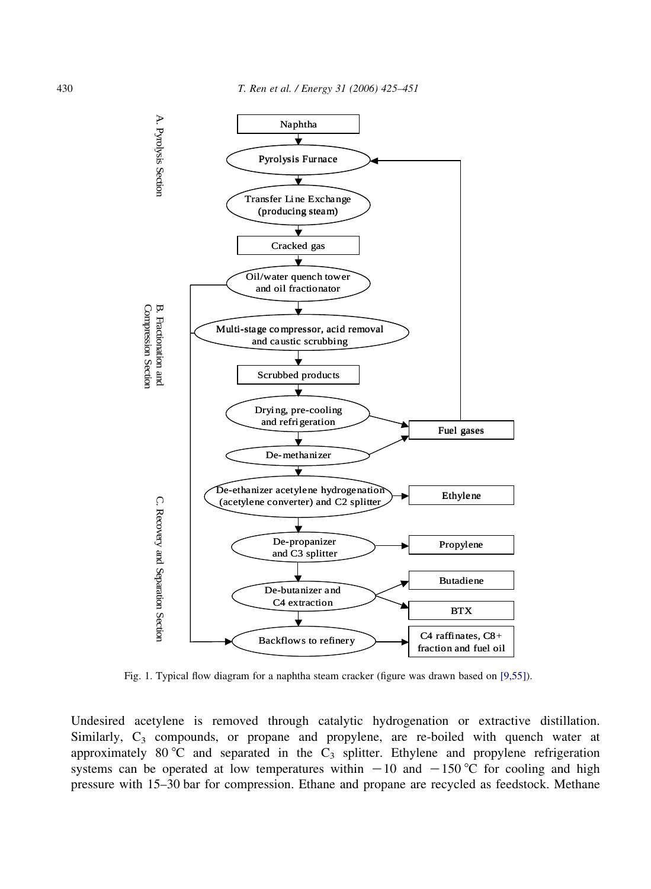<span id="page-5-0"></span>

Fig. 1. Typical flow diagram for a naphtha steam cracker (figure was drawn based on [\[9,55\]\)](#page-23-0).

Undesired acetylene is removed through catalytic hydrogenation or extractive distillation. Similarly,  $C_3$  compounds, or propane and propylene, are re-boiled with quench water at approximately 80 °C and separated in the  $C_3$  splitter. Ethylene and propylene refrigeration systems can be operated at low temperatures within  $-10$  and  $-150$  °C for cooling and high pressure with 15–30 bar for compression. Ethane and propane are recycled as feedstock. Methane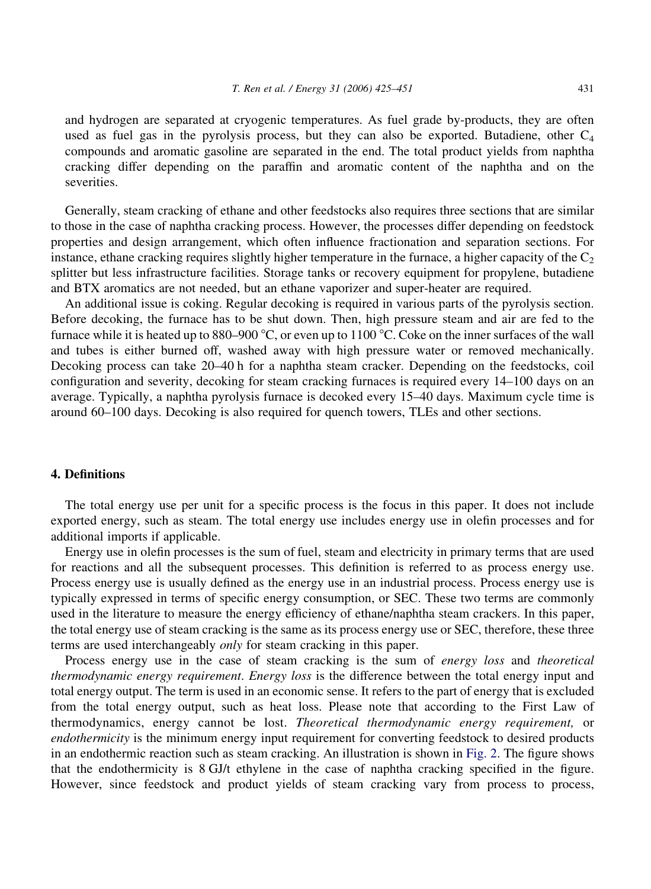and hydrogen are separated at cryogenic temperatures. As fuel grade by-products, they are often used as fuel gas in the pyrolysis process, but they can also be exported. Butadiene, other  $C_4$ compounds and aromatic gasoline are separated in the end. The total product yields from naphtha cracking differ depending on the paraffin and aromatic content of the naphtha and on the severities.

Generally, steam cracking of ethane and other feedstocks also requires three sections that are similar to those in the case of naphtha cracking process. However, the processes differ depending on feedstock properties and design arrangement, which often influence fractionation and separation sections. For instance, ethane cracking requires slightly higher temperature in the furnace, a higher capacity of the  $C_2$ splitter but less infrastructure facilities. Storage tanks or recovery equipment for propylene, butadiene and BTX aromatics are not needed, but an ethane vaporizer and super-heater are required.

An additional issue is coking. Regular decoking is required in various parts of the pyrolysis section. Before decoking, the furnace has to be shut down. Then, high pressure steam and air are fed to the furnace while it is heated up to 880–900  $\degree$ C, or even up to 1100  $\degree$ C. Coke on the inner surfaces of the wall and tubes is either burned off, washed away with high pressure water or removed mechanically. Decoking process can take 20–40 h for a naphtha steam cracker. Depending on the feedstocks, coil configuration and severity, decoking for steam cracking furnaces is required every 14–100 days on an average. Typically, a naphtha pyrolysis furnace is decoked every 15–40 days. Maximum cycle time is around 60–100 days. Decoking is also required for quench towers, TLEs and other sections.

## 4. Definitions

The total energy use per unit for a specific process is the focus in this paper. It does not include exported energy, such as steam. The total energy use includes energy use in olefin processes and for additional imports if applicable.

Energy use in olefin processes is the sum of fuel, steam and electricity in primary terms that are used for reactions and all the subsequent processes. This definition is referred to as process energy use. Process energy use is usually defined as the energy use in an industrial process. Process energy use is typically expressed in terms of specific energy consumption, or SEC. These two terms are commonly used in the literature to measure the energy efficiency of ethane/naphtha steam crackers. In this paper, the total energy use of steam cracking is the same as its process energy use or SEC, therefore, these three terms are used interchangeably only for steam cracking in this paper.

Process energy use in the case of steam cracking is the sum of *energy loss* and *theoretical* thermodynamic energy requirement. Energy loss is the difference between the total energy input and total energy output. The term is used in an economic sense. It refers to the part of energy that is excluded from the total energy output, such as heat loss. Please note that according to the First Law of thermodynamics, energy cannot be lost. Theoretical thermodynamic energy requirement, or endothermicity is the minimum energy input requirement for converting feedstock to desired products in an endothermic reaction such as steam cracking. An illustration is shown in [Fig. 2.](#page-7-0) The figure shows that the endothermicity is 8 GJ/t ethylene in the case of naphtha cracking specified in the figure. However, since feedstock and product yields of steam cracking vary from process to process,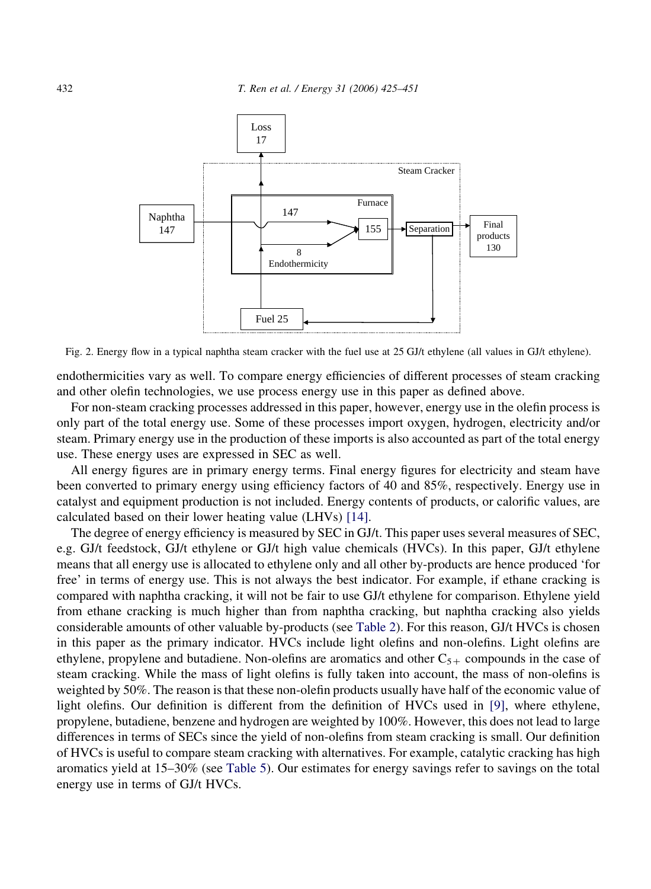<span id="page-7-0"></span>

Fig. 2. Energy flow in a typical naphtha steam cracker with the fuel use at 25 GJ/t ethylene (all values in GJ/t ethylene).

endothermicities vary as well. To compare energy efficiencies of different processes of steam cracking and other olefin technologies, we use process energy use in this paper as defined above.

For non-steam cracking processes addressed in this paper, however, energy use in the olefin process is only part of the total energy use. Some of these processes import oxygen, hydrogen, electricity and/or steam. Primary energy use in the production of these imports is also accounted as part of the total energy use. These energy uses are expressed in SEC as well.

All energy figures are in primary energy terms. Final energy figures for electricity and steam have been converted to primary energy using efficiency factors of 40 and 85%, respectively. Energy use in catalyst and equipment production is not included. Energy contents of products, or calorific values, are calculated based on their lower heating value (LHVs) [\[14\].](#page-23-0)

The degree of energy efficiency is measured by SEC in GJ/t. This paper uses several measures of SEC, e.g. GJ/t feedstock, GJ/t ethylene or GJ/t high value chemicals (HVCs). In this paper, GJ/t ethylene means that all energy use is allocated to ethylene only and all other by-products are hence produced 'for free' in terms of energy use. This is not always the best indicator. For example, if ethane cracking is compared with naphtha cracking, it will not be fair to use GJ/t ethylene for comparison. Ethylene yield from ethane cracking is much higher than from naphtha cracking, but naphtha cracking also yields considerable amounts of other valuable by-products (see [Table 2](#page-8-0)). For this reason, GJ/t HVCs is chosen in this paper as the primary indicator. HVCs include light olefins and non-olefins. Light olefins are ethylene, propylene and butadiene. Non-olefins are aromatics and other  $C_{5+}$  compounds in the case of steam cracking. While the mass of light olefins is fully taken into account, the mass of non-olefins is weighted by 50%. The reason is that these non-olefin products usually have half of the economic value of light olefins. Our definition is different from the definition of HVCs used in [\[9\]](#page-23-0), where ethylene, propylene, butadiene, benzene and hydrogen are weighted by 100%. However, this does not lead to large differences in terms of SECs since the yield of non-olefins from steam cracking is small. Our definition of HVCs is useful to compare steam cracking with alternatives. For example, catalytic cracking has high aromatics yield at 15–30% (see [Table 5\)](#page-17-0). Our estimates for energy savings refer to savings on the total energy use in terms of GJ/t HVCs.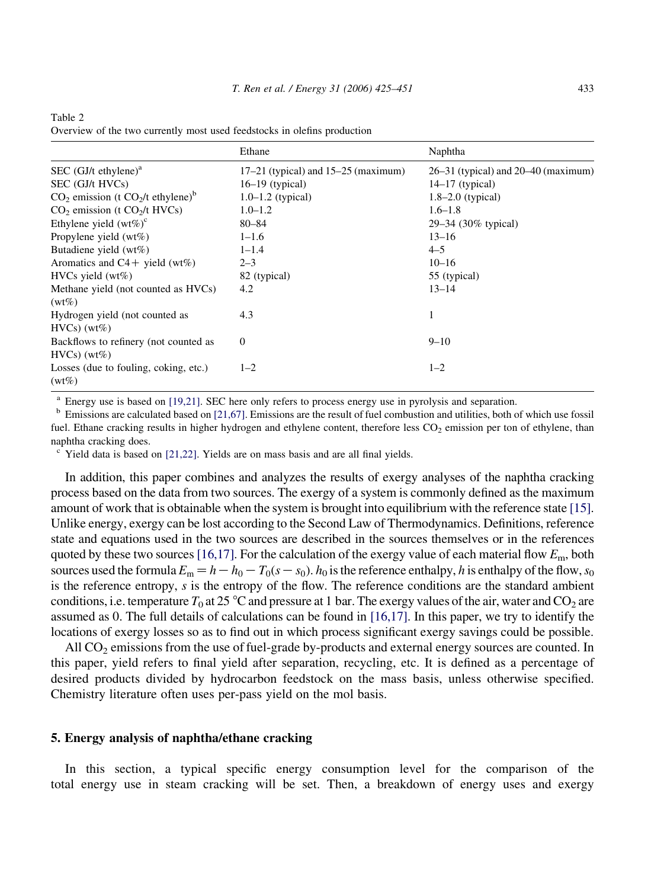|                                                   | Ethane                                  | Naphtha                                 |
|---------------------------------------------------|-----------------------------------------|-----------------------------------------|
| SEC $(GJ/t)$ ethylene) <sup>a</sup>               | $17-21$ (typical) and $15-25$ (maximum) | $26-31$ (typical) and $20-40$ (maximum) |
| SEC (GJ/t HVCs)                                   | $16-19$ (typical)                       | $14-17$ (typical)                       |
| $CO2$ emission (t $CO2/t$ ethylene) <sup>b</sup>  | $1.0 - 1.2$ (typical)                   | $1.8-2.0$ (typical)                     |
| $CO2$ emission (t $CO2/t$ HVCs)                   | $1.0 - 1.2$                             | $1.6 - 1.8$                             |
| Ethylene yield $(wt\%)^c$                         | $80 - 84$                               | 29–34 (30% typical)                     |
| Propylene yield $(wt\%)$                          | $1 - 1.6$                               | $13 - 16$                               |
| Butadiene yield $(wt\%)$                          | $1 - 1.4$                               | $4 - 5$                                 |
| Aromatics and C4 + yield ( $wt\%$ )               | $2 - 3$                                 | $10 - 16$                               |
| HVCs yield $(wt\%)$                               | 82 (typical)                            | 55 (typical)                            |
| Methane yield (not counted as HVCs)               | 4.2                                     | $13 - 14$                               |
| $(wt\%)$                                          |                                         |                                         |
| Hydrogen yield (not counted as                    | 4.3                                     | 1                                       |
| $HVCs)$ (wt%)                                     |                                         |                                         |
| Backflows to refinery (not counted as             | $\overline{0}$                          | $9 - 10$                                |
| $HVCs)$ (wt%)                                     |                                         |                                         |
| Losses (due to fouling, coking, etc.)<br>$(wt\%)$ | $1 - 2$                                 | $1 - 2$                                 |

<span id="page-8-0"></span>Table 2 Overview of the two currently most used feedstocks in olefins production

 $^a$  Energy use is based on [\[19,21\]](#page-24-0). SEC here only refers to process energy use in pyrolysis and separation.<br>  $^b$  Emissions are calculated based on [\[21,67\].](#page-24-0) Emissions are the result of fuel combustion and utilities, both fuel. Ethane cracking results in higher hydrogen and ethylene content, therefore less  $CO<sub>2</sub>$  emission per ton of ethylene, than naphtha cracking does.

 $\degree$  Yield data is based on [\[21,22\]](#page-24-0). Yields are on mass basis and are all final yields.

In addition, this paper combines and analyzes the results of exergy analyses of the naphtha cracking process based on the data from two sources. The exergy of a system is commonly defined as the maximum amount of work that is obtainable when the system is brought into equilibrium with the reference state [\[15\]](#page-23-0). Unlike energy, exergy can be lost according to the Second Law of Thermodynamics. Definitions, reference state and equations used in the two sources are described in the sources themselves or in the references quoted by these two sources [\[16,17\].](#page-23-0) For the calculation of the exergy value of each material flow  $E_{\rm m}$ , both sources used the formula  $E_m = h - h_0 - T_0(s - s_0)$ .  $h_0$  is the reference enthalpy, h is enthalpy of the flow,  $s_0$ is the reference entropy, s is the entropy of the flow. The reference conditions are the standard ambient conditions, i.e. temperature  $T_0$  at 25 °C and pressure at 1 bar. The exergy values of the air, water and CO<sub>2</sub> are assumed as 0. The full details of calculations can be found in [\[16,17\].](#page-23-0) In this paper, we try to identify the locations of exergy losses so as to find out in which process significant exergy savings could be possible.

All  $CO<sub>2</sub>$  emissions from the use of fuel-grade by-products and external energy sources are counted. In this paper, yield refers to final yield after separation, recycling, etc. It is defined as a percentage of desired products divided by hydrocarbon feedstock on the mass basis, unless otherwise specified. Chemistry literature often uses per-pass yield on the mol basis.

#### 5. Energy analysis of naphtha/ethane cracking

In this section, a typical specific energy consumption level for the comparison of the total energy use in steam cracking will be set. Then, a breakdown of energy uses and exergy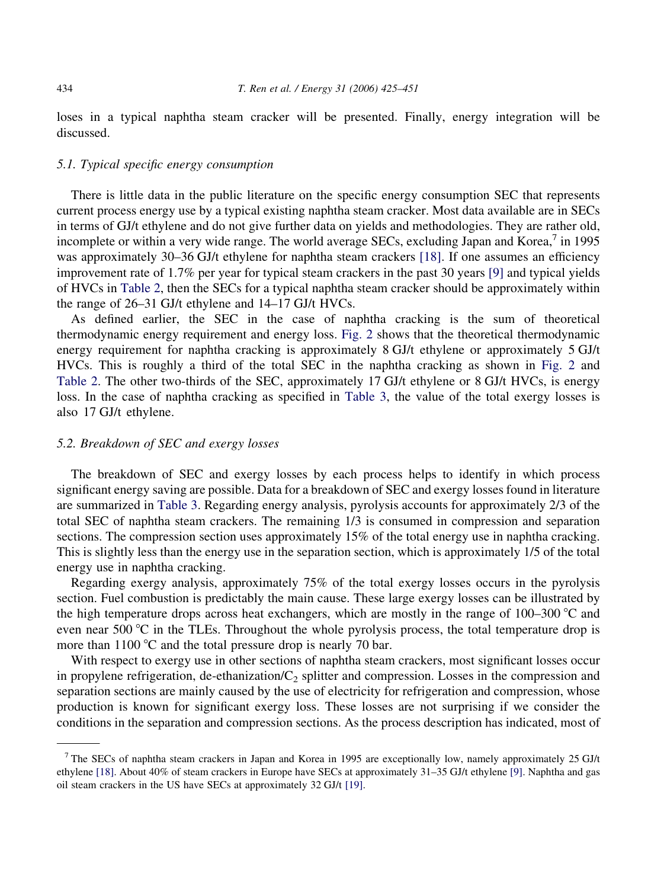loses in a typical naphtha steam cracker will be presented. Finally, energy integration will be discussed.

### 5.1. Typical specific energy consumption

There is little data in the public literature on the specific energy consumption SEC that represents current process energy use by a typical existing naphtha steam cracker. Most data available are in SECs in terms of GJ/t ethylene and do not give further data on yields and methodologies. They are rather old, incomplete or within a very wide range. The world average SECs, excluding Japan and Korea,<sup>7</sup> in 1995 was approximately 30–36 GJ/t ethylene for naphtha steam crackers [\[18\]](#page-24-0). If one assumes an efficiency improvement rate of 1.7% per year for typical steam crackers in the past 30 years [\[9\]](#page-23-0) and typical yields of HVCs in [Table 2](#page-8-0), then the SECs for a typical naphtha steam cracker should be approximately within the range of 26–31 GJ/t ethylene and 14–17 GJ/t HVCs.

As defined earlier, the SEC in the case of naphtha cracking is the sum of theoretical thermodynamic energy requirement and energy loss. [Fig. 2](#page-7-0) shows that the theoretical thermodynamic energy requirement for naphtha cracking is approximately 8 GJ/t ethylene or approximately 5 GJ/t HVCs. This is roughly a third of the total SEC in the naphtha cracking as shown in [Fig. 2](#page-7-0) and [Table 2.](#page-8-0) The other two-thirds of the SEC, approximately 17 GJ/t ethylene or 8 GJ/t HVCs, is energy loss. In the case of naphtha cracking as specified in [Table 3](#page-10-0), the value of the total exergy losses is also 17 GJ/t ethylene.

# 5.2. Breakdown of SEC and exergy losses

The breakdown of SEC and exergy losses by each process helps to identify in which process significant energy saving are possible. Data for a breakdown of SEC and exergy losses found in literature are summarized in [Table 3](#page-10-0). Regarding energy analysis, pyrolysis accounts for approximately 2/3 of the total SEC of naphtha steam crackers. The remaining 1/3 is consumed in compression and separation sections. The compression section uses approximately 15% of the total energy use in naphtha cracking. This is slightly less than the energy use in the separation section, which is approximately 1/5 of the total energy use in naphtha cracking.

Regarding exergy analysis, approximately 75% of the total exergy losses occurs in the pyrolysis section. Fuel combustion is predictably the main cause. These large exergy losses can be illustrated by the high temperature drops across heat exchangers, which are mostly in the range of  $100-300$  °C and even near  $500 \degree C$  in the TLEs. Throughout the whole pyrolysis process, the total temperature drop is more than  $1100 \degree C$  and the total pressure drop is nearly 70 bar.

With respect to exergy use in other sections of naphtha steam crackers, most significant losses occur in propylene refrigeration, de-ethanization/ $C_2$  splitter and compression. Losses in the compression and separation sections are mainly caused by the use of electricity for refrigeration and compression, whose production is known for significant exergy loss. These losses are not surprising if we consider the conditions in the separation and compression sections. As the process description has indicated, most of

<sup>&</sup>lt;sup>7</sup> The SECs of naphtha steam crackers in Japan and Korea in 1995 are exceptionally low, namely approximately 25 GJ/t ethylene [\[18\]](#page-24-0). About 40% of steam crackers in Europe have SECs at approximately 31–35 GJ/t ethylene [\[9\]](#page-23-0). Naphtha and gas oil steam crackers in the US have SECs at approximately 32 GJ/t [\[19\]](#page-24-0).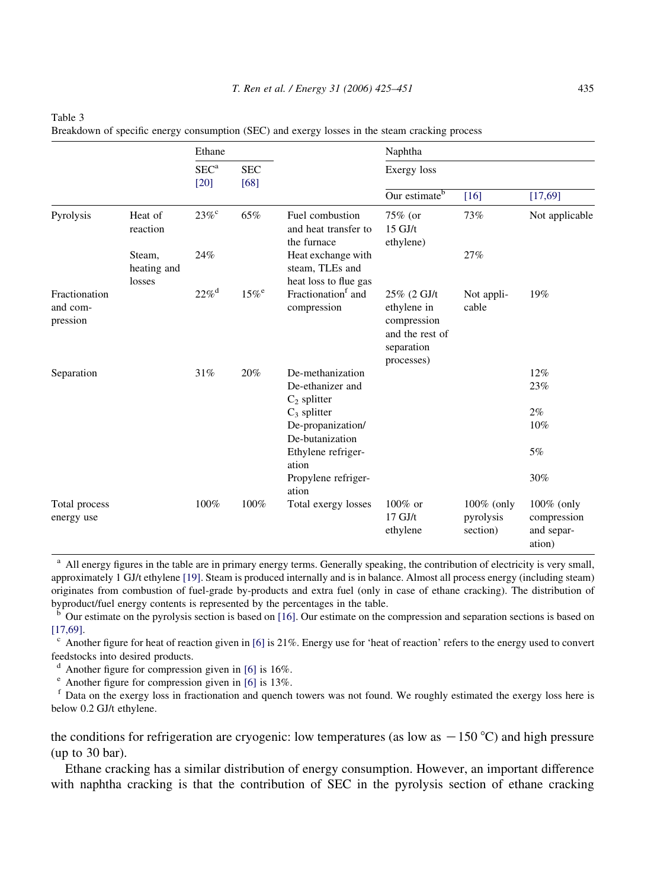|                                       |                                 | Ethane                   |                     |                                                                | Naphtha                                                                                  |                                        |                                                   |
|---------------------------------------|---------------------------------|--------------------------|---------------------|----------------------------------------------------------------|------------------------------------------------------------------------------------------|----------------------------------------|---------------------------------------------------|
|                                       |                                 | SEC <sup>a</sup><br>[20] | <b>SEC</b><br>[68]  |                                                                | Exergy loss                                                                              |                                        |                                                   |
|                                       |                                 |                          |                     |                                                                | Our estimate <sup>b</sup>                                                                | $[16]$                                 | [17,69]                                           |
| Pyrolysis                             | Heat of<br>reaction             | $23\%$ <sup>c</sup>      | 65%                 | Fuel combustion<br>and heat transfer to<br>the furnace         | 75% (or<br>$15 \text{ GJ/t}$<br>ethylene)                                                | 73%                                    | Not applicable                                    |
|                                       | Steam,<br>heating and<br>losses | 24%                      |                     | Heat exchange with<br>steam, TLEs and<br>heat loss to flue gas |                                                                                          | 27%                                    |                                                   |
| Fractionation<br>and com-<br>pression |                                 | $22\%$ <sup>d</sup>      | $15\%$ <sup>e</sup> | Fractionation <sup>f</sup> and<br>compression                  | 25% (2 GJ/t<br>ethylene in<br>compression<br>and the rest of<br>separation<br>processes) | Not appli-<br>cable                    | 19%                                               |
| Separation                            |                                 | 31%                      | 20%                 | De-methanization<br>De-ethanizer and<br>$C_2$ splitter         |                                                                                          |                                        | 12%<br>23%                                        |
|                                       |                                 |                          |                     | $C_3$ splitter                                                 |                                                                                          |                                        | $2\%$                                             |
|                                       |                                 |                          |                     | De-propanization/<br>De-butanization                           |                                                                                          |                                        | 10%                                               |
|                                       |                                 |                          |                     | Ethylene refriger-<br>ation                                    |                                                                                          |                                        | $5\%$                                             |
|                                       |                                 |                          |                     | Propylene refriger-<br>ation                                   |                                                                                          |                                        | 30%                                               |
| Total process<br>energy use           |                                 | 100%                     | 100%                | Total exergy losses                                            | 100% or<br>$17 \text{ GJ/t}$<br>ethylene                                                 | $100\%$ (only<br>pyrolysis<br>section) | 100% (only<br>compression<br>and separ-<br>ation) |

<span id="page-10-0"></span>Table 3 Breakdown of specific energy consumption (SEC) and exergy losses in the steam cracking process

<sup>a</sup> All energy figures in the table are in primary energy terms. Generally speaking, the contribution of electricity is very small, approximately 1 GJ/t ethylene [\[19\].](#page-24-0) Steam is produced internally and is in balance. Almost all process energy (including steam) originates from combustion of fuel-grade by-products and extra fuel (only in case of ethane cracking). The distribution of byproduct/fuel energy contents is represented by the percentages in the table.

<sup>b</sup> Our estimate on the pyrolysis section is based on [\[16\]](#page-23-0). Our estimate on the compression and separation sections is based on [\[17,69\].](#page-24-0)<br><sup>c</sup> Another figure for heat of reaction given in [\[6\]](#page-23-0) is 21%. Energy use for 'heat of reaction' refers to the energy used to convert

feedstocks into desired products.<br><sup>d</sup> Another figure for compression given in [6] is 16%.

<sup>e</sup> Another figure for compression given in [\[6\]](#page-23-0) is 13%.<br>
<sup>f</sup> Data on the exergy loss in fractionation and quench towers was not found. We roughly estimated the exergy loss here is below 0.2 GJ/t ethylene.

the conditions for refrigeration are cryogenic: low temperatures (as low as  $-150^{\circ}$ C) and high pressure (up to 30 bar).

Ethane cracking has a similar distribution of energy consumption. However, an important difference with naphtha cracking is that the contribution of SEC in the pyrolysis section of ethane cracking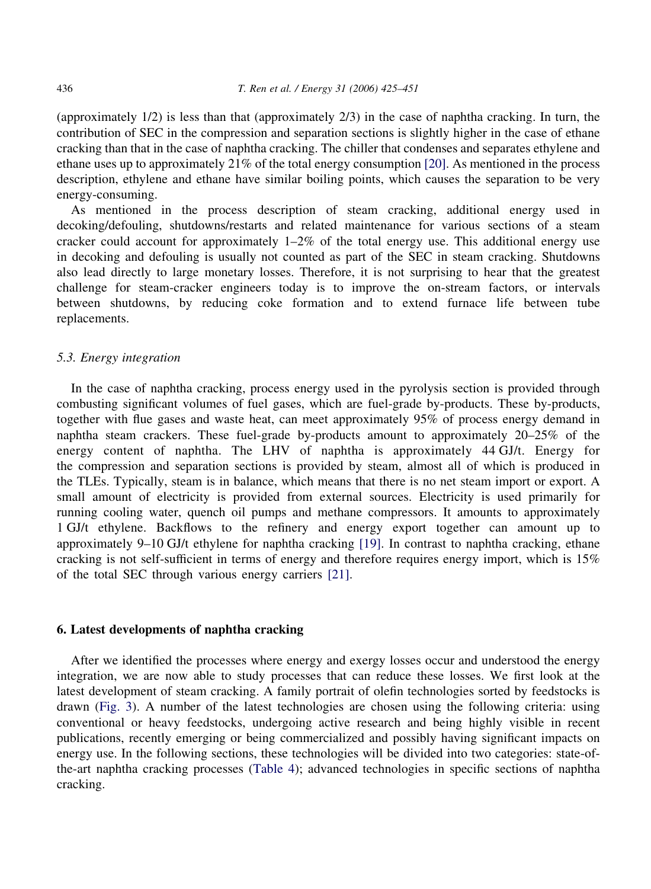(approximately 1/2) is less than that (approximately 2/3) in the case of naphtha cracking. In turn, the contribution of SEC in the compression and separation sections is slightly higher in the case of ethane cracking than that in the case of naphtha cracking. The chiller that condenses and separates ethylene and ethane uses up to approximately 21% of the total energy consumption [\[20\].](#page-24-0) As mentioned in the process description, ethylene and ethane have similar boiling points, which causes the separation to be very energy-consuming.

As mentioned in the process description of steam cracking, additional energy used in decoking/defouling, shutdowns/restarts and related maintenance for various sections of a steam cracker could account for approximately  $1-2\%$  of the total energy use. This additional energy use in decoking and defouling is usually not counted as part of the SEC in steam cracking. Shutdowns also lead directly to large monetary losses. Therefore, it is not surprising to hear that the greatest challenge for steam-cracker engineers today is to improve the on-stream factors, or intervals between shutdowns, by reducing coke formation and to extend furnace life between tube replacements.

#### 5.3. Energy integration

In the case of naphtha cracking, process energy used in the pyrolysis section is provided through combusting significant volumes of fuel gases, which are fuel-grade by-products. These by-products, together with flue gases and waste heat, can meet approximately 95% of process energy demand in naphtha steam crackers. These fuel-grade by-products amount to approximately 20–25% of the energy content of naphtha. The LHV of naphtha is approximately 44 GJ/t. Energy for the compression and separation sections is provided by steam, almost all of which is produced in the TLEs. Typically, steam is in balance, which means that there is no net steam import or export. A small amount of electricity is provided from external sources. Electricity is used primarily for running cooling water, quench oil pumps and methane compressors. It amounts to approximately 1 GJ/t ethylene. Backflows to the refinery and energy export together can amount up to approximately 9–10 GJ/t ethylene for naphtha cracking [\[19\].](#page-24-0) In contrast to naphtha cracking, ethane cracking is not self-sufficient in terms of energy and therefore requires energy import, which is 15% of the total SEC through various energy carriers [\[21\]](#page-24-0).

## 6. Latest developments of naphtha cracking

After we identified the processes where energy and exergy losses occur and understood the energy integration, we are now able to study processes that can reduce these losses. We first look at the latest development of steam cracking. A family portrait of olefin technologies sorted by feedstocks is drawn [\(Fig. 3\)](#page-12-0). A number of the latest technologies are chosen using the following criteria: using conventional or heavy feedstocks, undergoing active research and being highly visible in recent publications, recently emerging or being commercialized and possibly having significant impacts on energy use. In the following sections, these technologies will be divided into two categories: state-ofthe-art naphtha cracking processes ([Table 4\)](#page-13-0); advanced technologies in specific sections of naphtha cracking.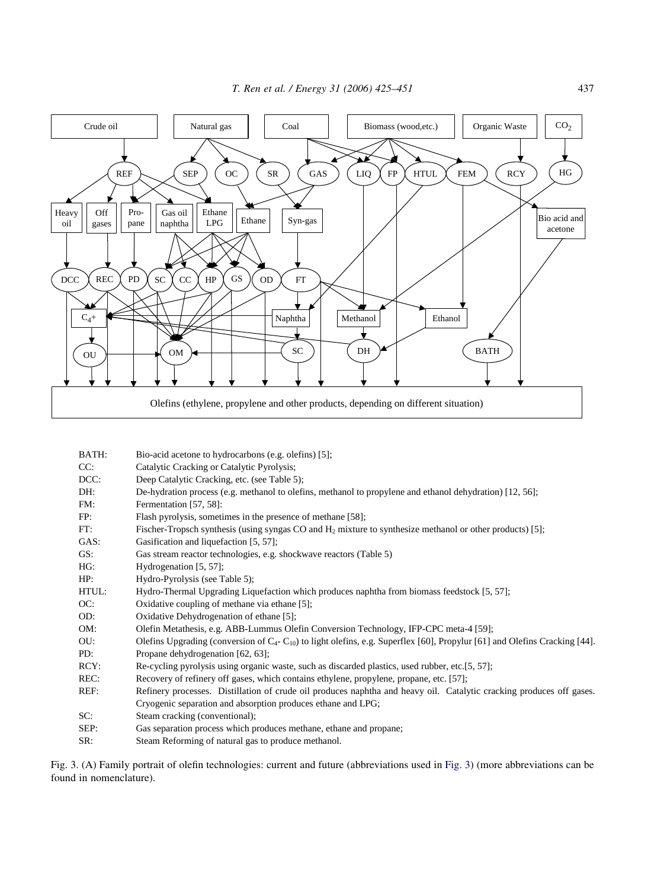<span id="page-12-0"></span>

| BATH: | Bio-acid acetone to hydrocarbons (e.g. olefins) [5];                                                                                |
|-------|-------------------------------------------------------------------------------------------------------------------------------------|
| CC:   | Catalytic Cracking or Catalytic Pyrolysis;                                                                                          |
| DCC:  | Deep Catalytic Cracking, etc. (see Table 5);                                                                                        |
| DH:   | De-hydration process (e.g. methanol to olefins, methanol to propylene and ethanol dehydration) [12, 56];                            |
| FM:   | Fermentation [57, 58]:                                                                                                              |
| FP:   | Flash pyrolysis, sometimes in the presence of methane [58];                                                                         |
| FT:   | Fischer-Tropsch synthesis (using syngas CO and $H_2$ mixture to synthesize methanol or other products) [5];                         |
| GAS:  | Gasification and liquefaction [5, 57];                                                                                              |
| GS:   | Gas stream reactor technologies, e.g. shockwave reactors (Table 5)                                                                  |
| HG:   | Hydrogenation [5, 57];                                                                                                              |
| HP:   | Hydro-Pyrolysis (see Table 5);                                                                                                      |
| HTUL: | Hydro-Thermal Upgrading Liquefaction which produces naphtha from biomass feedstock [5, 57];                                         |
| OC:   | Oxidative coupling of methane via ethane [5];                                                                                       |
| OD:   | Oxidative Dehydrogenation of ethane [5];                                                                                            |
| OM:   | Olefin Metathesis, e.g. ABB-Lummus Olefin Conversion Technology, IFP-CPC meta-4 [59];                                               |
| OU:   | Olefins Upgrading (conversion of $C_4$ - $C_{10}$ ) to light olefins, e.g. Superflex [60], Propylur [61] and Olefins Cracking [44]. |
| PD:   | Propane dehydrogenation [62, 63];                                                                                                   |
| RCY:  | Re-cycling pyrolysis using organic waste, such as discarded plastics, used rubber, etc.[5, 57];                                     |
| REC:  | Recovery of refinery off gases, which contains ethylene, propylene, propane, etc. [57];                                             |
| REF:  | Refinery processes. Distillation of crude oil produces naphtha and heavy oil. Catalytic cracking produces off gases.                |
|       | Cryogenic separation and absorption produces ethane and LPG;                                                                        |
| SC:   | Steam cracking (conventional);                                                                                                      |
| SEP:  | Gas separation process which produces methane, ethane and propane;                                                                  |
| SR:   | Steam Reforming of natural gas to produce methanol.                                                                                 |

Fig. 3. (A) Family portrait of olefin technologies: current and future (abbreviations used in Fig. 3) (more abbreviations can be found in nomenclature).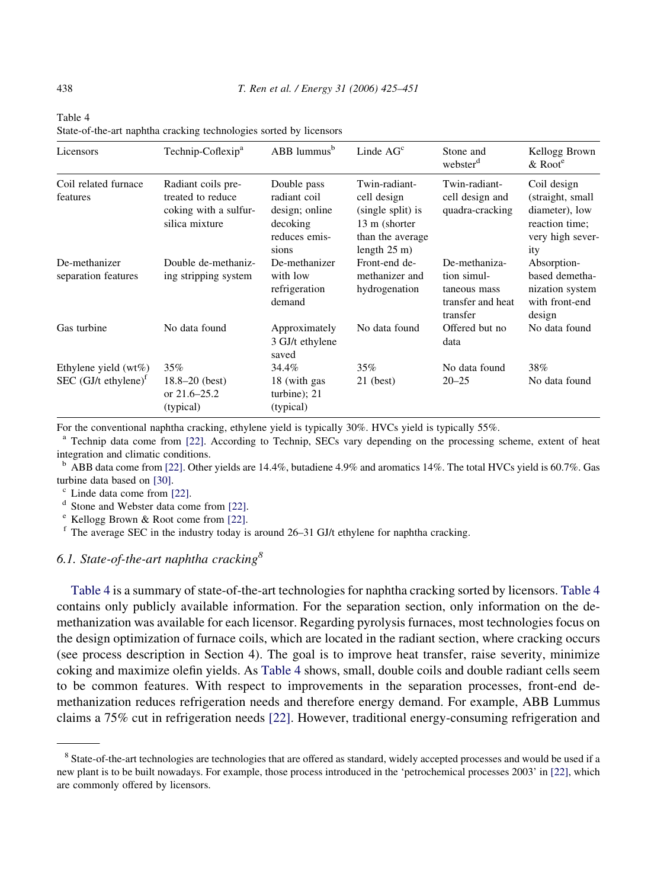<span id="page-13-0"></span>

| Table 4                                                            |
|--------------------------------------------------------------------|
| State-of-the-art naphtha cracking technologies sorted by licensors |

| Licensors                                        | Technip-Coflexip <sup>a</sup>                                                      | ABB lummus <sup>b</sup>                                                             | Linde $AGc$                                                                                                       | Stone and<br>webster <sup>d</sup>                                             | Kellogg Brown<br>$&$ Root <sup>e</sup>                                                         |
|--------------------------------------------------|------------------------------------------------------------------------------------|-------------------------------------------------------------------------------------|-------------------------------------------------------------------------------------------------------------------|-------------------------------------------------------------------------------|------------------------------------------------------------------------------------------------|
| Coil related furnace<br>features                 | Radiant coils pre-<br>treated to reduce<br>coking with a sulfur-<br>silica mixture | Double pass<br>radiant coil<br>design; online<br>decoking<br>reduces emis-<br>sions | Twin-radiant-<br>cell design<br>(single split) is<br>13 m (shorter<br>than the average<br>length $25 \text{ m}$ ) | Twin-radiant-<br>cell design and<br>quadra-cracking                           | Coil design<br>(straight, small<br>diameter), low<br>reaction time:<br>very high sever-<br>ity |
| De-methanizer<br>separation features             | Double de-methaniz-<br>ing stripping system                                        | De-methanizer<br>with low<br>refrigeration<br>demand                                | Front-end de-<br>methanizer and<br>hydrogenation                                                                  | De-methaniza-<br>tion simul-<br>taneous mass<br>transfer and heat<br>transfer | Absorption-<br>based demetha-<br>nization system<br>with front-end<br>design                   |
| Gas turbine                                      | No data found                                                                      | Approximately<br>3 GJ/t ethylene<br>saved                                           | No data found                                                                                                     | Offered but no<br>data                                                        | No data found                                                                                  |
| Ethylene yield $(wt\%)$                          | 35%                                                                                | 34.4%                                                                               | 35%                                                                                                               | No data found                                                                 | 38%                                                                                            |
| SEC $(GJ/t)$ ethylene) <sup><math>r</math></sup> | $18.8 - 20$ (best)<br>or $21.6 - 25.2$<br>(typical)                                | 18 (with gas<br>$turbine$ ; 21<br>(typical)                                         | $21$ (best)                                                                                                       | $20 - 25$                                                                     | No data found                                                                                  |

For the conventional naphtha cracking, ethylene yield is typically 30%. HVCs yield is typically 55%.

<sup>a</sup> Technip data come from [\[22\]](#page-24-0). According to Technip, SECs vary depending on the processing scheme, extent of heat integration and climatic conditions.

 $<sup>b</sup>$  ABB data come from [\[22\].](#page-24-0) Other yields are 14.4%, butadiene 4.9% and aromatics 14%. The total HVCs yield is 60.7%. Gas</sup> turbine data based on [\[30\]](#page-24-0).<br>
<sup>c</sup> Linde data come from [\[22\]](#page-24-0).<br>
<sup>d</sup> Stone and Webster data come from [\[22\].](#page-24-0)<br>
<sup>e</sup> Kellogg Brown & Root come from [22].<br>
<sup>f</sup> The average SEC in the industry today is around 26–31 GJ/t ethylene fo

# 6.1. State-of-the-art naphtha cracking<sup>8</sup>

Table 4 is a summary of state-of-the-art technologies for naphtha cracking sorted by licensors. Table 4 contains only publicly available information. For the separation section, only information on the demethanization was available for each licensor. Regarding pyrolysis furnaces, most technologies focus on the design optimization of furnace coils, which are located in the radiant section, where cracking occurs (see process description in Section 4). The goal is to improve heat transfer, raise severity, minimize coking and maximize olefin yields. As Table 4 shows, small, double coils and double radiant cells seem to be common features. With respect to improvements in the separation processes, front-end demethanization reduces refrigeration needs and therefore energy demand. For example, ABB Lummus claims a 75% cut in refrigeration needs [\[22\].](#page-24-0) However, traditional energy-consuming refrigeration and

<sup>8</sup> State-of-the-art technologies are technologies that are offered as standard, widely accepted processes and would be used if a new plant is to be built nowadays. For example, those process introduced in the 'petrochemical processes 2003' in [\[22\]](#page-24-0), which are commonly offered by licensors.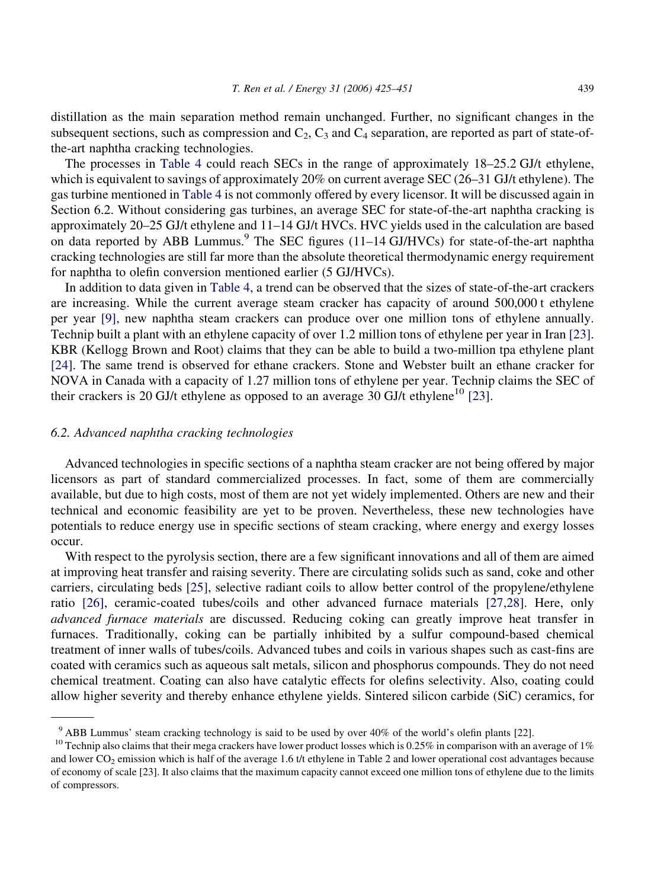distillation as the main separation method remain unchanged. Further, no significant changes in the subsequent sections, such as compression and  $C_2$ ,  $C_3$  and  $C_4$  separation, are reported as part of state-ofthe-art naphtha cracking technologies.

The processes in [Table 4](#page-13-0) could reach SECs in the range of approximately 18–25.2 GJ/t ethylene, which is equivalent to savings of approximately 20% on current average SEC (26–31 GJ/t ethylene). The gas turbine mentioned in [Table 4](#page-13-0) is not commonly offered by every licensor. It will be discussed again in Section 6.2. Without considering gas turbines, an average SEC for state-of-the-art naphtha cracking is approximately 20–25 GJ/t ethylene and 11–14 GJ/t HVCs. HVC yields used in the calculation are based on data reported by ABB Lummus.<sup>9</sup> The SEC figures  $(11-14 \text{ GJ/HVCs})$  for state-of-the-art naphtha cracking technologies are still far more than the absolute theoretical thermodynamic energy requirement for naphtha to olefin conversion mentioned earlier (5 GJ/HVCs).

In addition to data given in [Table 4](#page-13-0), a trend can be observed that the sizes of state-of-the-art crackers are increasing. While the current average steam cracker has capacity of around 500,000 t ethylene per year [\[9\]](#page-23-0), new naphtha steam crackers can produce over one million tons of ethylene annually. Technip built a plant with an ethylene capacity of over 1.2 million tons of ethylene per year in Iran [\[23\]](#page-24-0). KBR (Kellogg Brown and Root) claims that they can be able to build a two-million tpa ethylene plant [\[24\].](#page-24-0) The same trend is observed for ethane crackers. Stone and Webster built an ethane cracker for NOVA in Canada with a capacity of 1.27 million tons of ethylene per year. Technip claims the SEC of their crackers is 20 GJ/t ethylene as opposed to an average 30 GJ/t ethylene<sup>10</sup> [\[23\].](#page-24-0)

## 6.2. Advanced naphtha cracking technologies

Advanced technologies in specific sections of a naphtha steam cracker are not being offered by major licensors as part of standard commercialized processes. In fact, some of them are commercially available, but due to high costs, most of them are not yet widely implemented. Others are new and their technical and economic feasibility are yet to be proven. Nevertheless, these new technologies have potentials to reduce energy use in specific sections of steam cracking, where energy and exergy losses occur.

With respect to the pyrolysis section, there are a few significant innovations and all of them are aimed at improving heat transfer and raising severity. There are circulating solids such as sand, coke and other carriers, circulating beds [\[25\],](#page-24-0) selective radiant coils to allow better control of the propylene/ethylene ratio [\[26\]](#page-24-0), ceramic-coated tubes/coils and other advanced furnace materials [\[27,28\]](#page-24-0). Here, only advanced furnace materials are discussed. Reducing coking can greatly improve heat transfer in furnaces. Traditionally, coking can be partially inhibited by a sulfur compound-based chemical treatment of inner walls of tubes/coils. Advanced tubes and coils in various shapes such as cast-fins are coated with ceramics such as aqueous salt metals, silicon and phosphorus compounds. They do not need chemical treatment. Coating can also have catalytic effects for olefins selectivity. Also, coating could allow higher severity and thereby enhance ethylene yields. Sintered silicon carbide (SiC) ceramics, for

<sup>&</sup>lt;sup>9</sup> ABB Lummus' steam cracking technology is said to be used by over 40% of the world's olefin plants [22].<br><sup>10</sup> Technip also claims that their mega crackers have lower product losses which is 0.25% in comparison with an

and lower  $CO<sub>2</sub>$  emission which is half of the average 1.6 t/t ethylene in Table 2 and lower operational cost advantages because of economy of scale [23]. It also claims that the maximum capacity cannot exceed one million tons of ethylene due to the limits of compressors.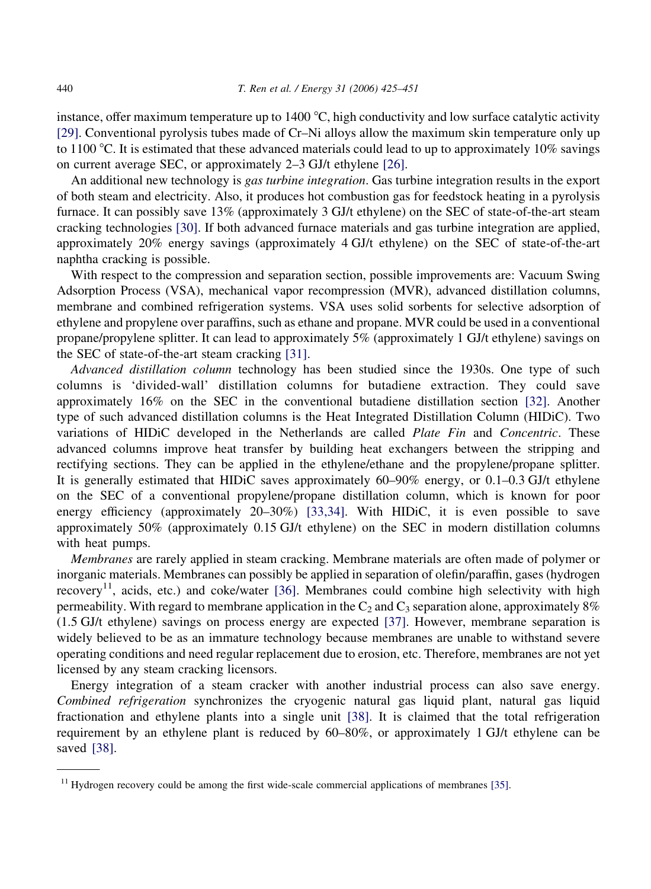instance, offer maximum temperature up to  $1400\degree C$ , high conductivity and low surface catalytic activity [\[29\].](#page-24-0) Conventional pyrolysis tubes made of Cr–Ni alloys allow the maximum skin temperature only up to 1100 °C. It is estimated that these advanced materials could lead to up to approximately 10% savings on current average SEC, or approximately 2–3 GJ/t ethylene [\[26\]](#page-24-0).

An additional new technology is gas turbine integration. Gas turbine integration results in the export of both steam and electricity. Also, it produces hot combustion gas for feedstock heating in a pyrolysis furnace. It can possibly save 13% (approximately 3 GJ/t ethylene) on the SEC of state-of-the-art steam cracking technologies [\[30\]](#page-24-0). If both advanced furnace materials and gas turbine integration are applied, approximately 20% energy savings (approximately 4 GJ/t ethylene) on the SEC of state-of-the-art naphtha cracking is possible.

With respect to the compression and separation section, possible improvements are: Vacuum Swing Adsorption Process (VSA), mechanical vapor recompression (MVR), advanced distillation columns, membrane and combined refrigeration systems. VSA uses solid sorbents for selective adsorption of ethylene and propylene over paraffins, such as ethane and propane. MVR could be used in a conventional propane/propylene splitter. It can lead to approximately 5% (approximately 1 GJ/t ethylene) savings on the SEC of state-of-the-art steam cracking [\[31\].](#page-24-0)

Advanced distillation column technology has been studied since the 1930s. One type of such columns is 'divided-wall' distillation columns for butadiene extraction. They could save approximately 16% on the SEC in the conventional butadiene distillation section [\[32\]](#page-24-0). Another type of such advanced distillation columns is the Heat Integrated Distillation Column (HIDiC). Two variations of HIDiC developed in the Netherlands are called Plate Fin and Concentric. These advanced columns improve heat transfer by building heat exchangers between the stripping and rectifying sections. They can be applied in the ethylene/ethane and the propylene/propane splitter. It is generally estimated that HIDiC saves approximately 60–90% energy, or 0.1–0.3 GJ/t ethylene on the SEC of a conventional propylene/propane distillation column, which is known for poor energy efficiency (approximately 20–30%) [\[33,34\]](#page-24-0). With HIDiC, it is even possible to save approximately 50% (approximately 0.15 GJ/t ethylene) on the SEC in modern distillation columns with heat pumps.

Membranes are rarely applied in steam cracking. Membrane materials are often made of polymer or inorganic materials. Membranes can possibly be applied in separation of olefin/paraffin, gases (hydrogen recovery<sup>11</sup>, acids, etc.) and coke/water [\[36\].](#page-24-0) Membranes could combine high selectivity with high permeability. With regard to membrane application in the  $C_2$  and  $C_3$  separation alone, approximately 8% (1.5 GJ/t ethylene) savings on process energy are expected [\[37\].](#page-24-0) However, membrane separation is widely believed to be as an immature technology because membranes are unable to withstand severe operating conditions and need regular replacement due to erosion, etc. Therefore, membranes are not yet licensed by any steam cracking licensors.

Energy integration of a steam cracker with another industrial process can also save energy. Combined refrigeration synchronizes the cryogenic natural gas liquid plant, natural gas liquid fractionation and ethylene plants into a single unit [\[38\].](#page-24-0) It is claimed that the total refrigeration requirement by an ethylene plant is reduced by 60–80%, or approximately 1 GJ/t ethylene can be saved [\[38\]](#page-24-0).

 $11$  Hydrogen recovery could be among the first wide-scale commercial applications of membranes [\[35\]](#page-24-0).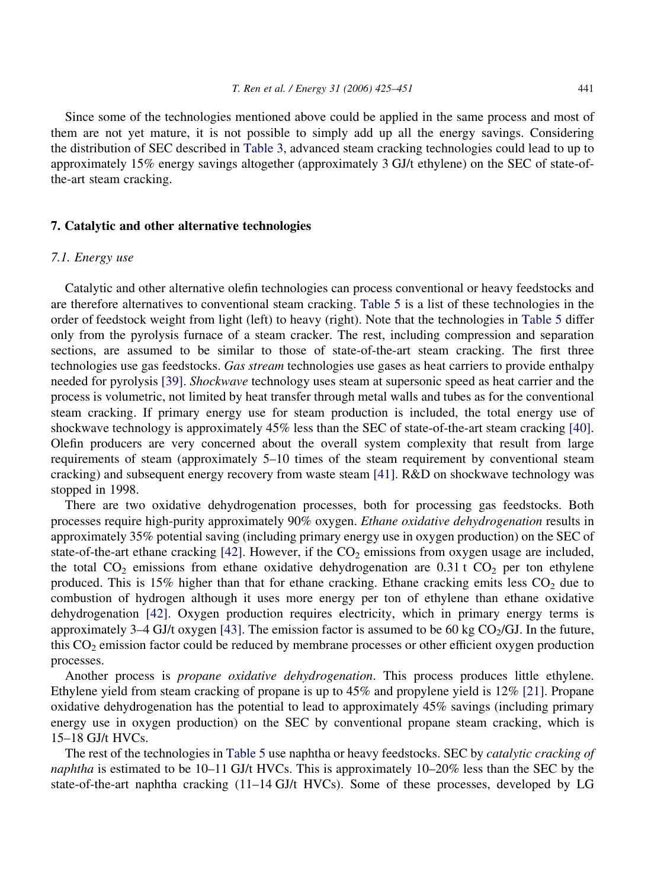Since some of the technologies mentioned above could be applied in the same process and most of them are not yet mature, it is not possible to simply add up all the energy savings. Considering the distribution of SEC described in [Table 3,](#page-10-0) advanced steam cracking technologies could lead to up to approximately 15% energy savings altogether (approximately 3 GJ/t ethylene) on the SEC of state-ofthe-art steam cracking.

#### 7. Catalytic and other alternative technologies

#### 7.1. Energy use

Catalytic and other alternative olefin technologies can process conventional or heavy feedstocks and are therefore alternatives to conventional steam cracking. [Table 5](#page-17-0) is a list of these technologies in the order of feedstock weight from light (left) to heavy (right). Note that the technologies in [Table 5](#page-17-0) differ only from the pyrolysis furnace of a steam cracker. The rest, including compression and separation sections, are assumed to be similar to those of state-of-the-art steam cracking. The first three technologies use gas feedstocks. Gas stream technologies use gases as heat carriers to provide enthalpy needed for pyrolysis [\[39\]](#page-24-0). Shockwave technology uses steam at supersonic speed as heat carrier and the process is volumetric, not limited by heat transfer through metal walls and tubes as for the conventional steam cracking. If primary energy use for steam production is included, the total energy use of shockwave technology is approximately 45% less than the SEC of state-of-the-art steam cracking [\[40\]](#page-24-0). Olefin producers are very concerned about the overall system complexity that result from large requirements of steam (approximately 5–10 times of the steam requirement by conventional steam cracking) and subsequent energy recovery from waste steam [\[41\]](#page-24-0). R&D on shockwave technology was stopped in 1998.

There are two oxidative dehydrogenation processes, both for processing gas feedstocks. Both processes require high-purity approximately 90% oxygen. Ethane oxidative dehydrogenation results in approximately 35% potential saving (including primary energy use in oxygen production) on the SEC of state-of-the-art ethane cracking  $[42]$ . However, if the  $CO<sub>2</sub>$  emissions from oxygen usage are included, the total  $CO_2$  emissions from ethane oxidative dehydrogenation are 0.31 t  $CO_2$  per ton ethylene produced. This is 15% higher than that for ethane cracking. Ethane cracking emits less  $CO<sub>2</sub>$  due to combustion of hydrogen although it uses more energy per ton of ethylene than ethane oxidative dehydrogenation [\[42\]](#page-24-0). Oxygen production requires electricity, which in primary energy terms is approximately 3–4 GJ/t oxygen [\[43\]](#page-24-0). The emission factor is assumed to be 60 kg  $CO<sub>2</sub>/GI$ . In the future, this  $CO<sub>2</sub>$  emission factor could be reduced by membrane processes or other efficient oxygen production processes.

Another process is propane oxidative dehydrogenation. This process produces little ethylene. Ethylene yield from steam cracking of propane is up to 45% and propylene yield is 12% [\[21\]](#page-24-0). Propane oxidative dehydrogenation has the potential to lead to approximately 45% savings (including primary energy use in oxygen production) on the SEC by conventional propane steam cracking, which is 15–18 GJ/t HVCs.

The rest of the technologies in [Table 5](#page-17-0) use naphtha or heavy feedstocks. SEC by *catalytic cracking of* naphtha is estimated to be  $10-11$  GJ/t HVCs. This is approximately  $10-20\%$  less than the SEC by the state-of-the-art naphtha cracking (11–14 GJ/t HVCs). Some of these processes, developed by LG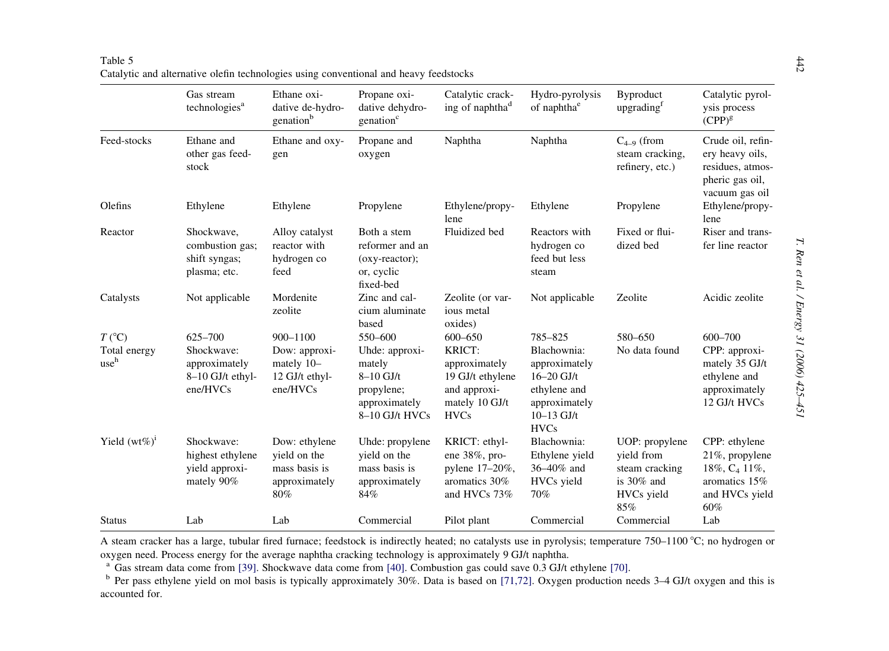|                                          | Gas stream<br>technologies <sup>a</sup>                                      | Ethane oxi-<br>dative de-hydro-<br>genation <sup>b</sup>                  | Propane oxi-<br>dative dehydro-<br>genation <sup>c</sup>                                            | Catalytic crack-<br>ing of naphtha <sup>d</sup>                                                         | Hydro-pyrolysis<br>of naphtha <sup>e</sup>                                                                              | Byproduct<br>upgrading <sup>f</sup>                                               | Catalytic pyrol-<br>ysis process<br>$(CPP)^g$                                                         |
|------------------------------------------|------------------------------------------------------------------------------|---------------------------------------------------------------------------|-----------------------------------------------------------------------------------------------------|---------------------------------------------------------------------------------------------------------|-------------------------------------------------------------------------------------------------------------------------|-----------------------------------------------------------------------------------|-------------------------------------------------------------------------------------------------------|
| Feed-stocks                              | Ethane and<br>other gas feed-<br>stock                                       | Ethane and oxy-<br>gen                                                    | Propane and<br>oxygen                                                                               | Naphtha                                                                                                 | Naphtha                                                                                                                 | $C_{4-9}$ (from<br>steam cracking,<br>refinery, etc.)                             | Crude oil, refin-<br>ery heavy oils,<br>residues, atmos-<br>pheric gas oil,<br>vacuum gas oil         |
| Olefins                                  | Ethylene                                                                     | Ethylene                                                                  | Propylene                                                                                           | Ethylene/propy-<br>lene                                                                                 | Ethylene                                                                                                                | Propylene                                                                         | Ethylene/propy-<br>lene                                                                               |
| Reactor                                  | Shockwave,<br>combustion gas;<br>shift syngas;<br>plasma; etc.               | Alloy catalyst<br>reactor with<br>hydrogen co<br>feed                     | Both a stem<br>reformer and an<br>(oxy-reactor);<br>or, cyclic<br>fixed-bed                         | Fluidized bed                                                                                           | Reactors with<br>hydrogen co<br>feed but less<br>steam                                                                  | Fixed or flui-<br>dized bed                                                       | Riser and trans-<br>fer line reactor                                                                  |
| Catalysts                                | Not applicable                                                               | Mordenite<br>zeolite                                                      | Zinc and cal-<br>cium aluminate<br>based                                                            | Zeolite (or var-<br>ious metal<br>oxides)                                                               | Not applicable                                                                                                          | Zeolite                                                                           | Acidic zeolite                                                                                        |
| $T({}^{\circ}C)$<br>Total energy<br>useh | $625 - 700$<br>Shockwave:<br>approximately<br>$8-10$ GJ/t ethyl-<br>ene/HVCs | $900 - 1100$<br>Dow: approxi-<br>mately 10-<br>12 GJ/t ethyl-<br>ene/HVCs | 550-600<br>Uhde: approxi-<br>mately<br>$8-10$ GJ/t<br>propylene;<br>approximately<br>8-10 GJ/t HVCs | 600-650<br>KRICT:<br>approximately<br>19 GJ/t ethylene<br>and approxi-<br>mately 10 GJ/t<br><b>HVCs</b> | 785-825<br>Blachownia:<br>approximately<br>$16-20$ GJ/t<br>ethylene and<br>approximately<br>$10-13$ GJ/t<br><b>HVCs</b> | 580-650<br>No data found                                                          | 600-700<br>CPP: approxi-<br>mately 35 GJ/t<br>ethylene and<br>approximately<br>12 GJ/t HVCs           |
| Yield $(wt\%)^1$                         | Shockwave:<br>highest ethylene<br>yield approxi-<br>mately 90%               | Dow: ethylene<br>vield on the<br>mass basis is<br>approximately<br>80%    | Uhde: propylene<br>vield on the<br>mass basis is<br>approximately<br>84%                            | KRICT: ethyl-<br>ene 38%, pro-<br>pylene 17-20%,<br>aromatics 30%<br>and HVCs 73%                       | Blachownia:<br>Ethylene yield<br>36-40% and<br>HVCs yield<br>70%                                                        | UOP: propylene<br>yield from<br>steam cracking<br>is 30% and<br>HVCs yield<br>85% | CPP: ethylene<br>21%, propylene<br>18%, C <sub>4</sub> 11%,<br>aromatics 15%<br>and HVCs yield<br>60% |
| <b>Status</b>                            | Lab                                                                          | Lab                                                                       | Commercial                                                                                          | Pilot plant                                                                                             | Commercial                                                                                                              | Commercial                                                                        | Lab                                                                                                   |

<span id="page-17-0"></span>Table 5 Catalytic and alternative olefin technologies using conventional and heavy feedstocks

A steam cracker has a large, tubular fired furnace; feedstock is indirectly heated; no catalysts use in pyrolysis; temperature 750–1100 °C; no hydrogen or oxygen need. Process energy for the average naphtha cracking technology is approximately 9 GJ/t naphtha.

<sup>a</sup> Gas stream data come from [\[39\]](#page-24-0). Shockwave data come from [\[40\]](#page-24-0). Combustion gas could save 0.3 GJ/t ethylene [\[70\]](#page-26-0).

<sup>b</sup> Per pass ethylene yield on mol basis is typically approximately 30%. Data is based on [\[71,72\]](#page-26-0). Oxygen production needs 3–4 GJ/t oxygen and this is accounted for.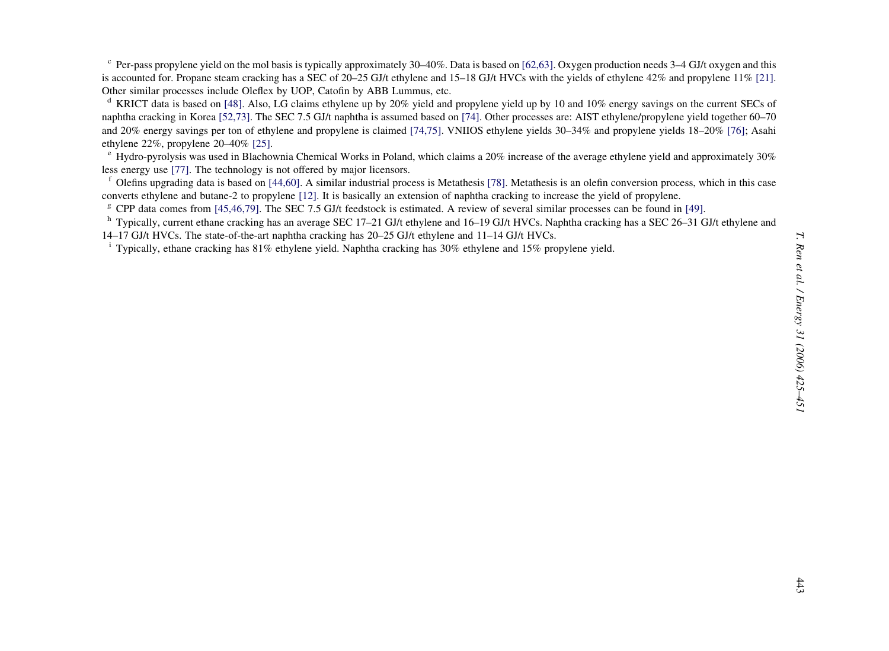<sup>c</sup> Per-pass propylene yield on the mol basis is typically approximately 30–40%. Data is based on [\[62,63\]](#page-25-0). Oxygen production needs 3–4 GJ/t oxygen and this is accounted for. Propane steam cracking has <sup>a</sup> SEC of 20–25 GJ/t ethylene and 15–18 GJ/t HVCs with the yields of ethylene 42% and propylene 11% [\[21\]](#page-24-0). Other similar processes include Oleflex by UOP, Catofin by ABB Lummus, etc.

<sup>d</sup> KRICT data is based on [\[48\]](#page-25-0). Also, LG claims ethylene up by 20% yield and propylene yield up by 10 and 10% energy savings on the current SECs of naphtha cracking in Korea [\[52,73\]](#page-25-0). The SEC 7.5 GJ/t naphtha is assumed based on [\[74\]](#page-26-0). Other processes are: AIST ethylene/propylene yield together 60–70 and 20% energy savings per ton of ethylene and propylene is claimed [\[74,75\]](#page-26-0). VNIIOS ethylene yields 30–34% and propylene yields 18–20% [\[76\]](#page-26-0); Asahi ethylene 22%, propylene 20–40% [\[25\]](#page-24-0).

 $\text{e}$  Hydro-pyrolysis was used in Blachownia Chemical Works in Poland, which claims a 20% increase of the average ethylene yield and approximately 30% less energy use [\[77\]](#page-26-0). The technology is not offered by major licensors.

 $<sup>f</sup>$  Olefins upgrading data is based on [\[44,60\]](#page-25-0). A similar industrial process is Metathesis [\[78\]](#page-26-0). Metathesis is an olefin conversion process, which in this case</sup> converts ethylene and butane-2 to propylene [\[12\]](#page-23-0). It is basically an extension of naphtha cracking to increase the yield of propylene.

 $g^g$  CPP data comes from [\[45,46,79\]](#page-25-0). The SEC 7.5 GJ/t feedstock is estimated. A review of several similar processes can be found in [\[49\]](#page-25-0).

<sup>h</sup> Typically, current ethane cracking has an average SEC 17–21 GJ/t ethylene and 16–19 GJ/t HVCs. Naphtha cracking has a SEC 26–31 GJ/t ethylene and 14–17 GJ/t HVCs. The state-of-the-art naphtha cracking has 20–25 GJ/t ethylene and 11–14 GJ/t HVCs.

i Typically, ethane cracking has 81% ethylene yield. Naphtha cracking has 30% ethylene and 15% propylene yield.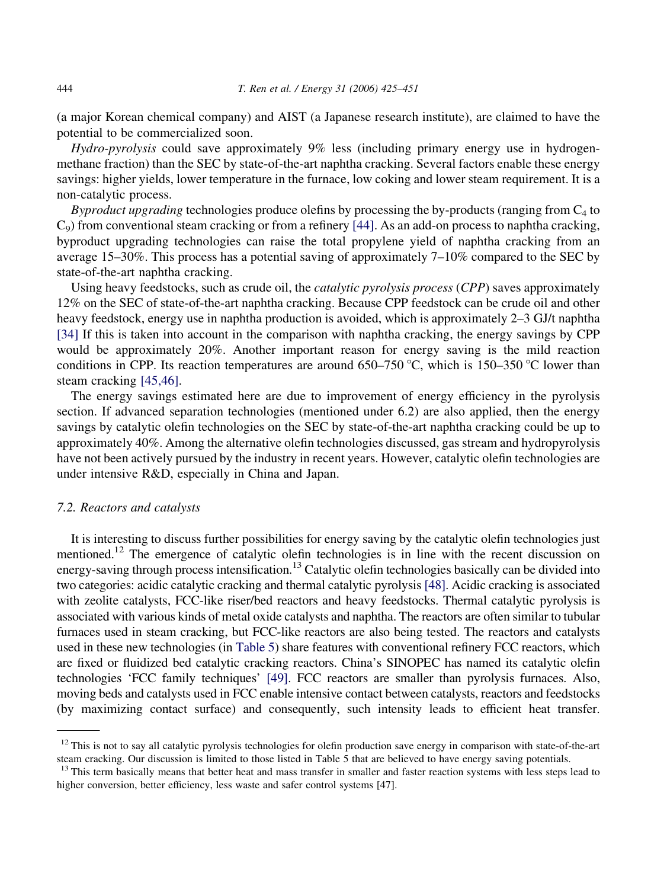(a major Korean chemical company) and AIST (a Japanese research institute), are claimed to have the potential to be commercialized soon.

Hydro-pyrolysis could save approximately 9% less (including primary energy use in hydrogenmethane fraction) than the SEC by state-of-the-art naphtha cracking. Several factors enable these energy savings: higher yields, lower temperature in the furnace, low coking and lower steam requirement. It is a non-catalytic process.

Byproduct upgrading technologies produce olefins by processing the by-products (ranging from  $C_4$  to C9) from conventional steam cracking or from a refinery [\[44\].](#page-25-0) As an add-on process to naphtha cracking, byproduct upgrading technologies can raise the total propylene yield of naphtha cracking from an average 15–30%. This process has a potential saving of approximately 7–10% compared to the SEC by state-of-the-art naphtha cracking.

Using heavy feedstocks, such as crude oil, the *catalytic pyrolysis process* (CPP) saves approximately 12% on the SEC of state-of-the-art naphtha cracking. Because CPP feedstock can be crude oil and other heavy feedstock, energy use in naphtha production is avoided, which is approximately 2–3 GJ/t naphtha [\[34\]](#page-24-0) If this is taken into account in the comparison with naphtha cracking, the energy savings by CPP would be approximately 20%. Another important reason for energy saving is the mild reaction conditions in CPP. Its reaction temperatures are around 650–750 °C, which is 150–350 °C lower than steam cracking [\[45,46\]](#page-25-0).

The energy savings estimated here are due to improvement of energy efficiency in the pyrolysis section. If advanced separation technologies (mentioned under 6.2) are also applied, then the energy savings by catalytic olefin technologies on the SEC by state-of-the-art naphtha cracking could be up to approximately 40%. Among the alternative olefin technologies discussed, gas stream and hydropyrolysis have not been actively pursued by the industry in recent years. However, catalytic olefin technologies are under intensive R&D, especially in China and Japan.

## 7.2. Reactors and catalysts

It is interesting to discuss further possibilities for energy saving by the catalytic olefin technologies just mentioned.<sup>12</sup> The emergence of catalytic olefin technologies is in line with the recent discussion on energy-saving through process intensification.<sup>13</sup> Catalytic olefin technologies basically can be divided into two categories: acidic catalytic cracking and thermal catalytic pyrolysis [\[48\].](#page-25-0) Acidic cracking is associated with zeolite catalysts, FCC-like riser/bed reactors and heavy feedstocks. Thermal catalytic pyrolysis is associated with various kinds of metal oxide catalysts and naphtha. The reactors are often similar to tubular furnaces used in steam cracking, but FCC-like reactors are also being tested. The reactors and catalysts used in these new technologies (in [Table 5\)](#page-17-0) share features with conventional refinery FCC reactors, which are fixed or fluidized bed catalytic cracking reactors. China's SINOPEC has named its catalytic olefin technologies 'FCC family techniques' [\[49\].](#page-25-0) FCC reactors are smaller than pyrolysis furnaces. Also, moving beds and catalysts used in FCC enable intensive contact between catalysts, reactors and feedstocks (by maximizing contact surface) and consequently, such intensity leads to efficient heat transfer.

<sup>&</sup>lt;sup>12</sup> This is not to say all catalytic pyrolysis technologies for olefin production save energy in comparison with state-of-the-art steam cracking. Our discussion is limited to those listed in Table 5 that are believed to have energy saving potentials.

<sup>&</sup>lt;sup>13</sup> This term basically means that better heat and mass transfer in smaller and faster reaction systems with less steps lead to higher conversion, better efficiency, less waste and safer control systems [47].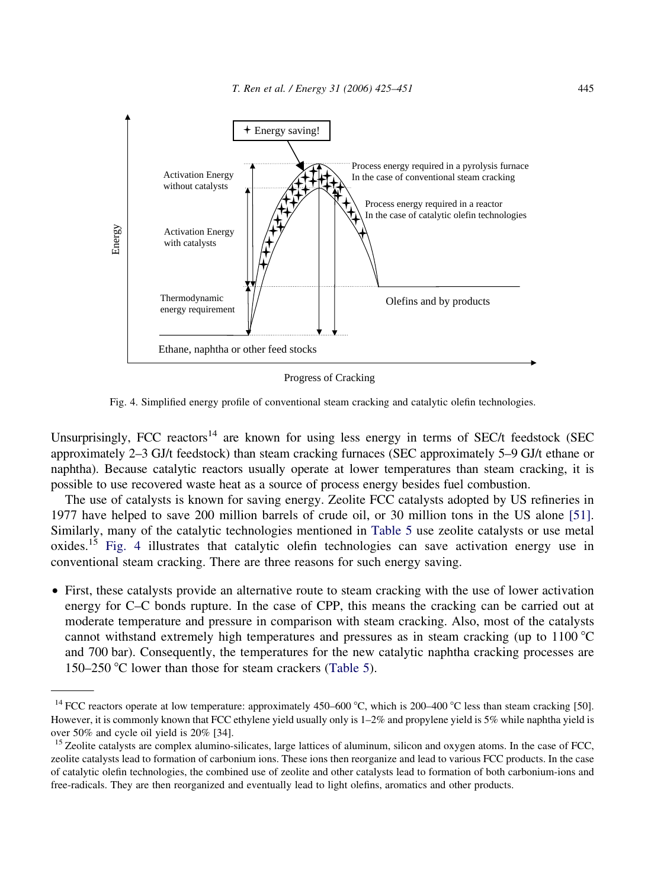

Progress of Cracking

Fig. 4. Simplified energy profile of conventional steam cracking and catalytic olefin technologies.

Unsurprisingly, FCC reactors<sup>14</sup> are known for using less energy in terms of SEC/t feedstock (SEC approximately 2–3 GJ/t feedstock) than steam cracking furnaces (SEC approximately 5–9 GJ/t ethane or naphtha). Because catalytic reactors usually operate at lower temperatures than steam cracking, it is possible to use recovered waste heat as a source of process energy besides fuel combustion.

The use of catalysts is known for saving energy. Zeolite FCC catalysts adopted by US refineries in 1977 have helped to save 200 million barrels of crude oil, or 30 million tons in the US alone [\[51\]](#page-25-0). Similarly, many of the catalytic technologies mentioned in [Table 5](#page-17-0) use zeolite catalysts or use metal oxides.<sup>15</sup> Fig. 4 illustrates that catalytic olefin technologies can save activation energy use in conventional steam cracking. There are three reasons for such energy saving.

• First, these catalysts provide an alternative route to steam cracking with the use of lower activation energy for C–C bonds rupture. In the case of CPP, this means the cracking can be carried out at moderate temperature and pressure in comparison with steam cracking. Also, most of the catalysts cannot withstand extremely high temperatures and pressures as in steam cracking (up to  $1100^{\circ}$ C and 700 bar). Consequently, the temperatures for the new catalytic naphtha cracking processes are 150–250 °C lower than those for steam crackers [\(Table 5](#page-17-0)).

<sup>&</sup>lt;sup>14</sup> FCC reactors operate at low temperature: approximately 450–600 °C, which is 200–400 °C less than steam cracking [50]. However, it is commonly known that FCC ethylene yield usually only is 1–2% and propylene yield is 5% while naphtha yield is over 50% and cycle oil yield is 20% [34].

<sup>&</sup>lt;sup>15</sup> Zeolite catalysts are complex alumino-silicates, large lattices of aluminum, silicon and oxygen atoms. In the case of FCC, zeolite catalysts lead to formation of carbonium ions. These ions then reorganize and lead to various FCC products. In the case of catalytic olefin technologies, the combined use of zeolite and other catalysts lead to formation of both carbonium-ions and free-radicals. They are then reorganized and eventually lead to light olefins, aromatics and other products.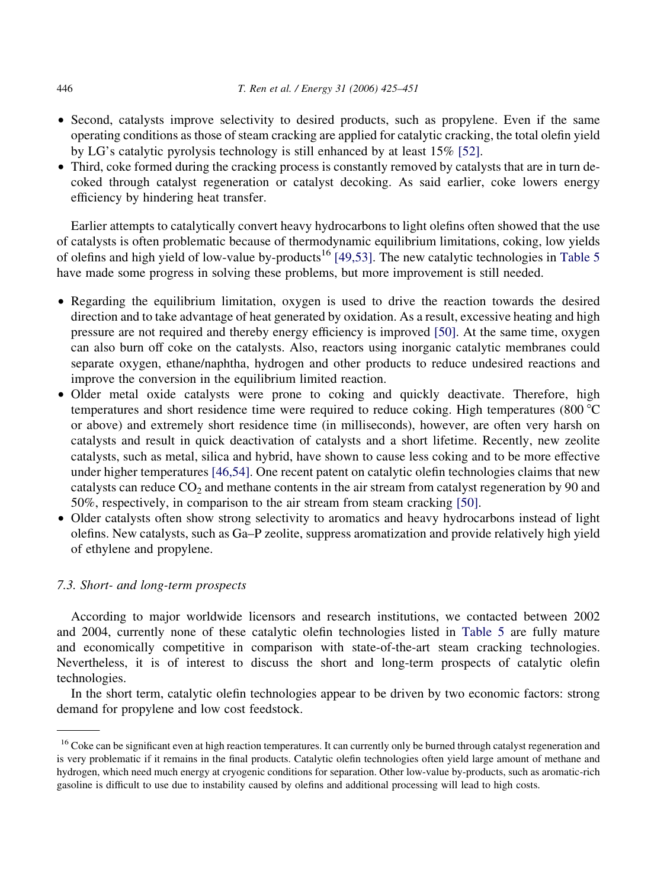- Second, catalysts improve selectivity to desired products, such as propylene. Even if the same operating conditions as those of steam cracking are applied for catalytic cracking, the total olefin yield by LG's catalytic pyrolysis technology is still enhanced by at least 15% [\[52\]](#page-25-0).
- Third, coke formed during the cracking process is constantly removed by catalysts that are in turn decoked through catalyst regeneration or catalyst decoking. As said earlier, coke lowers energy efficiency by hindering heat transfer.

Earlier attempts to catalytically convert heavy hydrocarbons to light olefins often showed that the use of catalysts is often problematic because of thermodynamic equilibrium limitations, coking, low yields of olefins and high yield of low-value by-products<sup>16</sup> [\[49,53\].](#page-25-0) The new catalytic technologies in [Table 5](#page-17-0) have made some progress in solving these problems, but more improvement is still needed.

- Regarding the equilibrium limitation, oxygen is used to drive the reaction towards the desired direction and to take advantage of heat generated by oxidation. As a result, excessive heating and high pressure are not required and thereby energy efficiency is improved [\[50\]](#page-25-0). At the same time, oxygen can also burn off coke on the catalysts. Also, reactors using inorganic catalytic membranes could separate oxygen, ethane/naphtha, hydrogen and other products to reduce undesired reactions and improve the conversion in the equilibrium limited reaction.
- Older metal oxide catalysts were prone to coking and quickly deactivate. Therefore, high temperatures and short residence time were required to reduce coking. High temperatures (800 $^{\circ}$ C or above) and extremely short residence time (in milliseconds), however, are often very harsh on catalysts and result in quick deactivation of catalysts and a short lifetime. Recently, new zeolite catalysts, such as metal, silica and hybrid, have shown to cause less coking and to be more effective under higher temperatures [\[46,54\].](#page-25-0) One recent patent on catalytic olefin technologies claims that new catalysts can reduce  $CO_2$  and methane contents in the air stream from catalyst regeneration by 90 and 50%, respectively, in comparison to the air stream from steam cracking [\[50\].](#page-25-0)
- Older catalysts often show strong selectivity to aromatics and heavy hydrocarbons instead of light olefins. New catalysts, such as Ga–P zeolite, suppress aromatization and provide relatively high yield of ethylene and propylene.

## 7.3. Short- and long-term prospects

According to major worldwide licensors and research institutions, we contacted between 2002 and 2004, currently none of these catalytic olefin technologies listed in [Table 5](#page-17-0) are fully mature and economically competitive in comparison with state-of-the-art steam cracking technologies. Nevertheless, it is of interest to discuss the short and long-term prospects of catalytic olefin technologies.

In the short term, catalytic olefin technologies appear to be driven by two economic factors: strong demand for propylene and low cost feedstock.

<sup>&</sup>lt;sup>16</sup> Coke can be significant even at high reaction temperatures. It can currently only be burned through catalyst regeneration and is very problematic if it remains in the final products. Catalytic olefin technologies often yield large amount of methane and hydrogen, which need much energy at cryogenic conditions for separation. Other low-value by-products, such as aromatic-rich gasoline is difficult to use due to instability caused by olefins and additional processing will lead to high costs.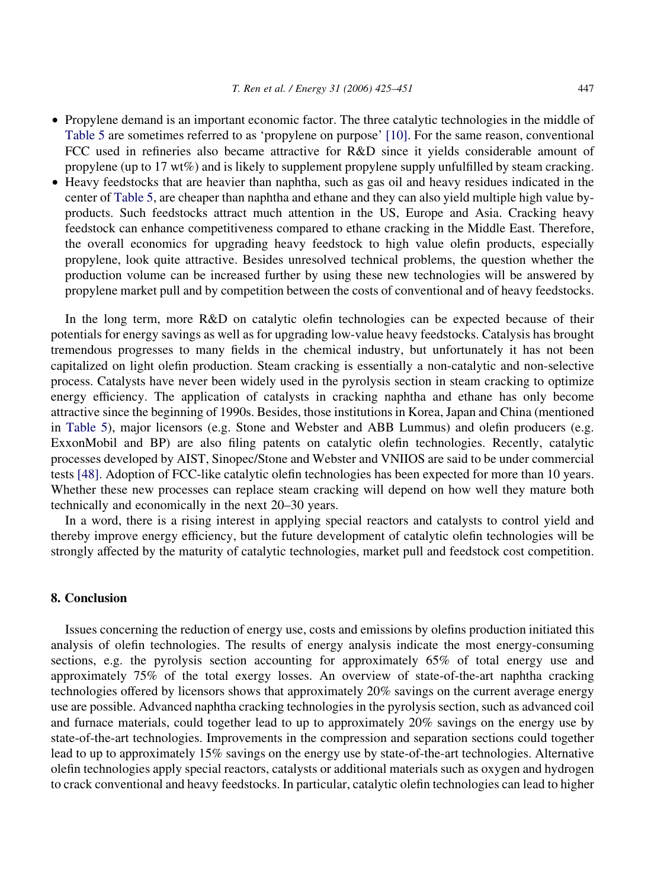- Propylene demand is an important economic factor. The three catalytic technologies in the middle of [Table 5](#page-17-0) are sometimes referred to as 'propylene on purpose' [\[10\].](#page-23-0) For the same reason, conventional FCC used in refineries also became attractive for R&D since it yields considerable amount of propylene (up to 17 wt%) and is likely to supplement propylene supply unfulfilled by steam cracking.
- Heavy feedstocks that are heavier than naphtha, such as gas oil and heavy residues indicated in the center of [Table 5](#page-17-0), are cheaper than naphtha and ethane and they can also yield multiple high value byproducts. Such feedstocks attract much attention in the US, Europe and Asia. Cracking heavy feedstock can enhance competitiveness compared to ethane cracking in the Middle East. Therefore, the overall economics for upgrading heavy feedstock to high value olefin products, especially propylene, look quite attractive. Besides unresolved technical problems, the question whether the production volume can be increased further by using these new technologies will be answered by propylene market pull and by competition between the costs of conventional and of heavy feedstocks.

In the long term, more R&D on catalytic olefin technologies can be expected because of their potentials for energy savings as well as for upgrading low-value heavy feedstocks. Catalysis has brought tremendous progresses to many fields in the chemical industry, but unfortunately it has not been capitalized on light olefin production. Steam cracking is essentially a non-catalytic and non-selective process. Catalysts have never been widely used in the pyrolysis section in steam cracking to optimize energy efficiency. The application of catalysts in cracking naphtha and ethane has only become attractive since the beginning of 1990s. Besides, those institutions in Korea, Japan and China (mentioned in [Table 5\)](#page-17-0), major licensors (e.g. Stone and Webster and ABB Lummus) and olefin producers (e.g. ExxonMobil and BP) are also filing patents on catalytic olefin technologies. Recently, catalytic processes developed by AIST, Sinopec/Stone and Webster and VNIIOS are said to be under commercial tests [\[48\].](#page-25-0) Adoption of FCC-like catalytic olefin technologies has been expected for more than 10 years. Whether these new processes can replace steam cracking will depend on how well they mature both technically and economically in the next 20–30 years.

In a word, there is a rising interest in applying special reactors and catalysts to control yield and thereby improve energy efficiency, but the future development of catalytic olefin technologies will be strongly affected by the maturity of catalytic technologies, market pull and feedstock cost competition.

## 8. Conclusion

Issues concerning the reduction of energy use, costs and emissions by olefins production initiated this analysis of olefin technologies. The results of energy analysis indicate the most energy-consuming sections, e.g. the pyrolysis section accounting for approximately 65% of total energy use and approximately 75% of the total exergy losses. An overview of state-of-the-art naphtha cracking technologies offered by licensors shows that approximately 20% savings on the current average energy use are possible. Advanced naphtha cracking technologies in the pyrolysis section, such as advanced coil and furnace materials, could together lead to up to approximately 20% savings on the energy use by state-of-the-art technologies. Improvements in the compression and separation sections could together lead to up to approximately 15% savings on the energy use by state-of-the-art technologies. Alternative olefin technologies apply special reactors, catalysts or additional materials such as oxygen and hydrogen to crack conventional and heavy feedstocks. In particular, catalytic olefin technologies can lead to higher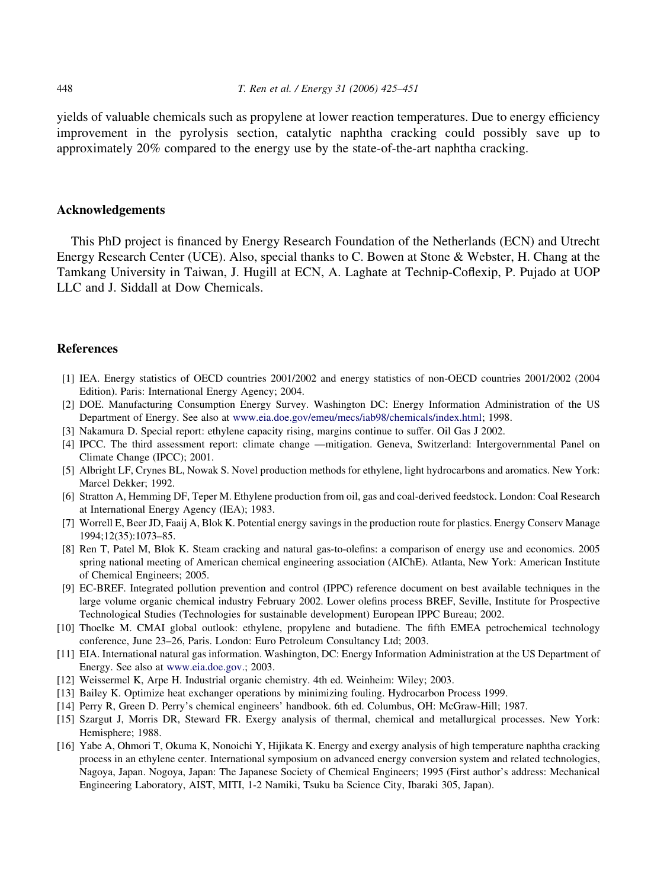<span id="page-23-0"></span>yields of valuable chemicals such as propylene at lower reaction temperatures. Due to energy efficiency improvement in the pyrolysis section, catalytic naphtha cracking could possibly save up to approximately 20% compared to the energy use by the state-of-the-art naphtha cracking.

## Acknowledgements

This PhD project is financed by Energy Research Foundation of the Netherlands (ECN) and Utrecht Energy Research Center (UCE). Also, special thanks to C. Bowen at Stone & Webster, H. Chang at the Tamkang University in Taiwan, J. Hugill at ECN, A. Laghate at Technip-Coflexip, P. Pujado at UOP LLC and J. Siddall at Dow Chemicals.

#### References

- [1] IEA. Energy statistics of OECD countries 2001/2002 and energy statistics of non-OECD countries 2001/2002 (2004 Edition). Paris: International Energy Agency; 2004.
- [2] DOE. Manufacturing Consumption Energy Survey. Washington DC: Energy Information Administration of the US Department of Energy. See also at [www.eia.doe.gov/emeu/mecs/iab98/chemicals/index.html](http://www.eia.doe.gov/emeu/mecs/iab98/chemicals/index.html); 1998.
- [3] Nakamura D. Special report: ethylene capacity rising, margins continue to suffer. Oil Gas J 2002.
- [4] IPCC. The third assessment report: climate change —mitigation. Geneva, Switzerland: Intergovernmental Panel on Climate Change (IPCC); 2001.
- [5] Albright LF, Crynes BL, Nowak S. Novel production methods for ethylene, light hydrocarbons and aromatics. New York: Marcel Dekker; 1992.
- [6] Stratton A, Hemming DF, Teper M. Ethylene production from oil, gas and coal-derived feedstock. London: Coal Research at International Energy Agency (IEA); 1983.
- [7] Worrell E, Beer JD, Faaij A, Blok K. Potential energy savings in the production route for plastics. Energy Conserv Manage 1994;12(35):1073–85.
- [8] Ren T, Patel M, Blok K. Steam cracking and natural gas-to-olefins: a comparison of energy use and economics. 2005 spring national meeting of American chemical engineering association (AIChE). Atlanta, New York: American Institute of Chemical Engineers; 2005.
- [9] EC-BREF. Integrated pollution prevention and control (IPPC) reference document on best available techniques in the large volume organic chemical industry February 2002. Lower olefins process BREF, Seville, Institute for Prospective Technological Studies (Technologies for sustainable development) European IPPC Bureau; 2002.
- [10] Thoelke M. CMAI global outlook: ethylene, propylene and butadiene. The fifth EMEA petrochemical technology conference, June 23–26, Paris. London: Euro Petroleum Consultancy Ltd; 2003.
- [11] EIA. International natural gas information. Washington, DC: Energy Information Administration at the US Department of Energy. See also at [www.eia.doe.gov.;](http://www.eia.doe.gov.) 2003.
- [12] Weissermel K, Arpe H. Industrial organic chemistry. 4th ed. Weinheim: Wiley; 2003.
- [13] Bailey K. Optimize heat exchanger operations by minimizing fouling. Hydrocarbon Process 1999.
- [14] Perry R, Green D. Perry's chemical engineers' handbook. 6th ed. Columbus, OH: McGraw-Hill; 1987.
- [15] Szargut J, Morris DR, Steward FR. Exergy analysis of thermal, chemical and metallurgical processes. New York: Hemisphere; 1988.
- [16] Yabe A, Ohmori T, Okuma K, Nonoichi Y, Hijikata K. Energy and exergy analysis of high temperature naphtha cracking process in an ethylene center. International symposium on advanced energy conversion system and related technologies, Nagoya, Japan. Nogoya, Japan: The Japanese Society of Chemical Engineers; 1995 (First author's address: Mechanical Engineering Laboratory, AIST, MITI, 1-2 Namiki, Tsuku ba Science City, Ibaraki 305, Japan).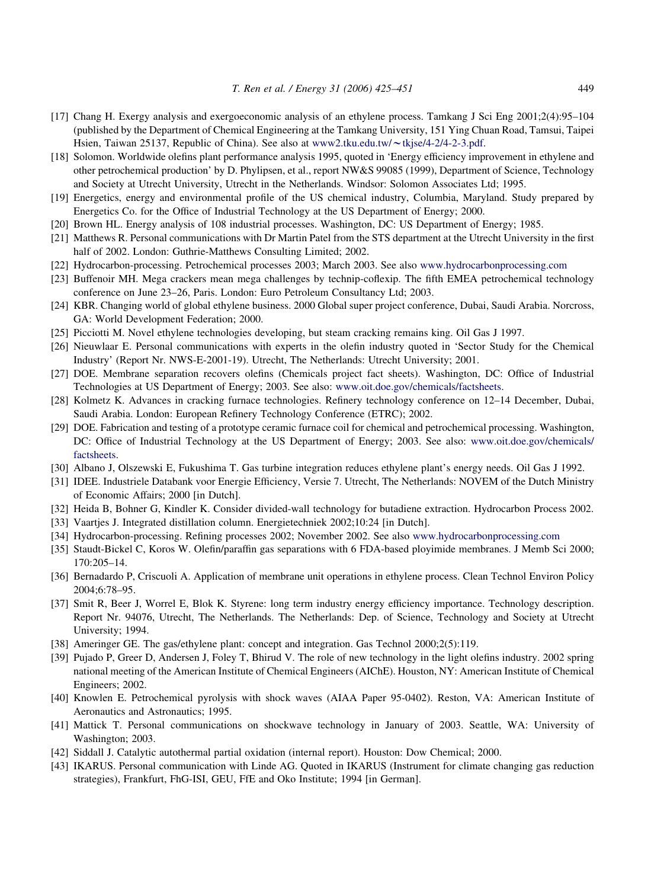- <span id="page-24-0"></span>[17] Chang H. Exergy analysis and exergoeconomic analysis of an ethylene process. Tamkang J Sci Eng 2001;2(4):95–104 (published by the Department of Chemical Engineering at the Tamkang University, 151 Ying Chuan Road, Tamsui, Taipei Hsien, Taiwan 25137, Republic of China). See also at www2.tku.edu.tw/ $\sim$ [tkjse/4-2/4-2-3.pdf](http://www2.tku.edu.tw/((tkjse/4-2/4-2-3.pdf.).
- [18] Solomon. Worldwide olefins plant performance analysis 1995, quoted in 'Energy efficiency improvement in ethylene and other petrochemical production' by D. Phylipsen, et al., report NW&S 99085 (1999), Department of Science, Technology and Society at Utrecht University, Utrecht in the Netherlands. Windsor: Solomon Associates Ltd; 1995.
- [19] Energetics, energy and environmental profile of the US chemical industry, Columbia, Maryland. Study prepared by Energetics Co. for the Office of Industrial Technology at the US Department of Energy; 2000.
- [20] Brown HL. Energy analysis of 108 industrial processes. Washington, DC: US Department of Energy; 1985.
- [21] Matthews R. Personal communications with Dr Martin Patel from the STS department at the Utrecht University in the first half of 2002. London: Guthrie-Matthews Consulting Limited; 2002.
- [22] Hydrocarbon-processing. Petrochemical processes 2003; March 2003. See also [www.hydrocarbonprocessing.com](http://www.hydrocarbonprocessing.com.)
- [23] Buffenoir MH. Mega crackers mean mega challenges by technip-coflexip. The fifth EMEA petrochemical technology conference on June 23–26, Paris. London: Euro Petroleum Consultancy Ltd; 2003.
- [24] KBR. Changing world of global ethylene business. 2000 Global super project conference, Dubai, Saudi Arabia. Norcross, GA: World Development Federation; 2000.
- [25] Picciotti M. Novel ethylene technologies developing, but steam cracking remains king. Oil Gas J 1997.
- [26] Nieuwlaar E. Personal communications with experts in the olefin industry quoted in 'Sector Study for the Chemical Industry' (Report Nr. NWS-E-2001-19). Utrecht, The Netherlands: Utrecht University; 2001.
- [27] DOE. Membrane separation recovers olefins (Chemicals project fact sheets). Washington, DC: Office of Industrial Technologies at US Department of Energy; 2003. See also: [www.oit.doe.gov/chemicals/factsheets](http://www.oit.doe.gov/chemicals/factsheets.).
- [28] Kolmetz K. Advances in cracking furnace technologies. Refinery technology conference on 12–14 December, Dubai, Saudi Arabia. London: European Refinery Technology Conference (ETRC); 2002.
- [29] DOE. Fabrication and testing of a prototype ceramic furnace coil for chemical and petrochemical processing. Washington, DC: Office of Industrial Technology at the US Department of Energy; 2003. See also: [www.oit.doe.gov/chemicals/](http://www.oit.doe.gov/chemicals/factsheets) [factsheets.](http://www.oit.doe.gov/chemicals/factsheets)
- [30] Albano J, Olszewski E, Fukushima T. Gas turbine integration reduces ethylene plant's energy needs. Oil Gas J 1992.
- [31] IDEE. Industriele Databank voor Energie Efficiency, Versie 7. Utrecht, The Netherlands: NOVEM of the Dutch Ministry of Economic Affairs; 2000 [in Dutch].
- [32] Heida B, Bohner G, Kindler K. Consider divided-wall technology for butadiene extraction. Hydrocarbon Process 2002.
- [33] Vaartjes J. Integrated distillation column. Energietechniek 2002;10:24 [in Dutch].
- [34] Hydrocarbon-processing. Refining processes 2002; November 2002. See also [www.hydrocarbonprocessing.com](http://www.hydrocarbonprocessing.com)
- [35] Staudt-Bickel C, Koros W. Olefin/paraffin gas separations with 6 FDA-based ployimide membranes. J Memb Sci 2000; 170:205–14.
- [36] Bernadardo P, Criscuoli A. Application of membrane unit operations in ethylene process. Clean Technol Environ Policy 2004;6:78–95.
- [37] Smit R, Beer J, Worrel E, Blok K. Styrene: long term industry energy efficiency importance. Technology description. Report Nr. 94076, Utrecht, The Netherlands. The Netherlands: Dep. of Science, Technology and Society at Utrecht University; 1994.
- [38] Ameringer GE. The gas/ethylene plant: concept and integration. Gas Technol 2000;2(5):119.
- [39] Pujado P, Greer D, Andersen J, Foley T, Bhirud V. The role of new technology in the light olefins industry. 2002 spring national meeting of the American Institute of Chemical Engineers (AIChE). Houston, NY: American Institute of Chemical Engineers; 2002.
- [40] Knowlen E. Petrochemical pyrolysis with shock waves (AIAA Paper 95-0402). Reston, VA: American Institute of Aeronautics and Astronautics; 1995.
- [41] Mattick T. Personal communications on shockwave technology in January of 2003. Seattle, WA: University of Washington; 2003.
- [42] Siddall J. Catalytic autothermal partial oxidation (internal report). Houston: Dow Chemical; 2000.
- [43] IKARUS. Personal communication with Linde AG. Quoted in IKARUS (Instrument for climate changing gas reduction strategies), Frankfurt, FhG-ISI, GEU, FfE and Oko Institute; 1994 [in German].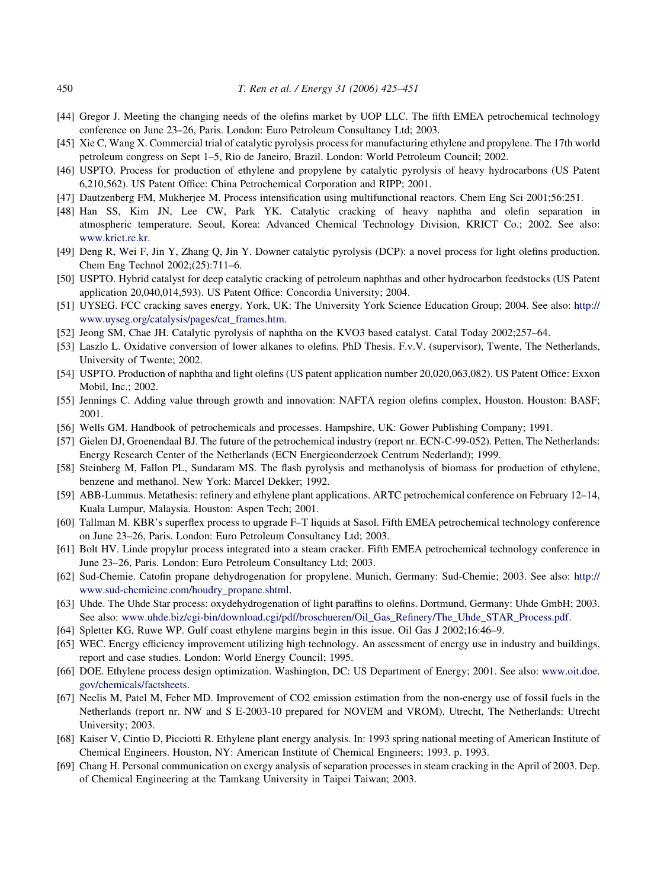- <span id="page-25-0"></span>[44] Gregor J. Meeting the changing needs of the olefins market by UOP LLC. The fifth EMEA petrochemical technology conference on June 23–26, Paris. London: Euro Petroleum Consultancy Ltd; 2003.
- [45] Xie C, Wang X. Commercial trial of catalytic pyrolysis process for manufacturing ethylene and propylene. The 17th world petroleum congress on Sept 1–5, Rio de Janeiro, Brazil. London: World Petroleum Council; 2002.
- [46] USPTO. Process for production of ethylene and propylene by catalytic pyrolysis of heavy hydrocarbons (US Patent 6,210,562). US Patent Office: China Petrochemical Corporation and RIPP; 2001.
- [47] Dautzenberg FM, Mukherjee M. Process intensification using multifunctional reactors. Chem Eng Sci 2001;56:251.
- [48] Han SS, Kim JN, Lee CW, Park YK. Catalytic cracking of heavy naphtha and olefin separation in atmospheric temperature. Seoul, Korea: Advanced Chemical Technology Division, KRICT Co.; 2002. See also: [www.krict.re.kr](http://www.krict.re.kr).
- [49] Deng R, Wei F, Jin Y, Zhang Q, Jin Y. Downer catalytic pyrolysis (DCP): a novel process for light olefins production. Chem Eng Technol 2002;(25):711–6.
- [50] USPTO. Hybrid catalyst for deep catalytic cracking of petroleum naphthas and other hydrocarbon feedstocks (US Patent application 20,040,014,593). US Patent Office: Concordia University; 2004.
- [51] UYSEG. FCC cracking saves energy. York, UK: The University York Science Education Group; 2004. See also: [http://](http://www.uyseg.org/catalysis/pages/cat_frames.htm) [www.uyseg.org/catalysis/pages/cat\\_frames.htm.](http://www.uyseg.org/catalysis/pages/cat_frames.htm)
- [52] Jeong SM, Chae JH. Catalytic pyrolysis of naphtha on the KVO3 based catalyst. Catal Today 2002;257–64.
- [53] Laszlo L. Oxidative conversion of lower alkanes to olefins. PhD Thesis. F.v.V. (supervisor), Twente, The Netherlands, University of Twente; 2002.
- [54] USPTO. Production of naphtha and light olefins (US patent application number 20,020,063,082). US Patent Office: Exxon Mobil, Inc.; 2002.
- [55] Jennings C. Adding value through growth and innovation: NAFTA region olefins complex, Houston. Houston: BASF; 2001.
- [56] Wells GM. Handbook of petrochemicals and processes. Hampshire, UK: Gower Publishing Company; 1991.
- [57] Gielen DJ, Groenendaal BJ. The future of the petrochemical industry (report nr. ECN-C-99-052). Petten, The Netherlands: Energy Research Center of the Netherlands (ECN Energieonderzoek Centrum Nederland); 1999.
- [58] Steinberg M, Fallon PL, Sundaram MS. The flash pyrolysis and methanolysis of biomass for production of ethylene, benzene and methanol. New York: Marcel Dekker; 1992.
- [59] ABB-Lummus. Metathesis: refinery and ethylene plant applications. ARTC petrochemical conference on February 12–14, Kuala Lumpur, Malaysia. Houston: Aspen Tech; 2001.
- [60] Tallman M. KBR's superflex process to upgrade F–T liquids at Sasol. Fifth EMEA petrochemical technology conference on June 23–26, Paris. London: Euro Petroleum Consultancy Ltd; 2003.
- [61] Bolt HV. Linde propylur process integrated into a steam cracker. Fifth EMEA petrochemical technology conference in June 23–26, Paris. London: Euro Petroleum Consultancy Ltd; 2003.
- [62] Sud-Chemie. Catofin propane dehydrogenation for propylene. Munich, Germany: Sud-Chemie; 2003. See also: [http://](http://www.sud-chemieinc.com/houdry_propane.shtml) [www.sud-chemieinc.com/houdry\\_propane.shtml.](http://www.sud-chemieinc.com/houdry_propane.shtml)
- [63] Uhde. The Uhde Star process: oxydehydrogenation of light paraffins to olefins. Dortmund, Germany: Uhde GmbH; 2003. See also: [www.uhde.biz/cgi-bin/download.cgi/pdf/broschueren/Oil\\_Gas\\_Refinery/The\\_Uhde\\_STAR\\_Process.pdf.](http://www.uhde.biz/cgi-bin/download.cgi/pdf/broschueren/Oil_Gas_Refinery/The_Uhde_STAR_Process.pdf)
- [64] Spletter KG, Ruwe WP. Gulf coast ethylene margins begin in this issue. Oil Gas J 2002;16:46–9.
- [65] WEC. Energy efficiency improvement utilizing high technology. An assessment of energy use in industry and buildings, report and case studies. London: World Energy Council; 1995.
- [66] DOE. Ethylene process design optimization. Washington, DC: US Department of Energy; 2001. See also: [www.oit.doe.](http://www.oit.doe.gov/chemicals/factsheets) [gov/chemicals/factsheets](http://www.oit.doe.gov/chemicals/factsheets).
- [67] Neelis M, Patel M, Feber MD. Improvement of CO2 emission estimation from the non-energy use of fossil fuels in the Netherlands (report nr. NW and S E-2003-10 prepared for NOVEM and VROM). Utrecht, The Netherlands: Utrecht University; 2003.
- [68] Kaiser V, Cintio D, Picciotti R. Ethylene plant energy analysis. In: 1993 spring national meeting of American Institute of Chemical Engineers. Houston, NY: American Institute of Chemical Engineers; 1993. p. 1993.
- [69] Chang H. Personal communication on exergy analysis of separation processes in steam cracking in the April of 2003. Dep. of Chemical Engineering at the Tamkang University in Taipei Taiwan; 2003.